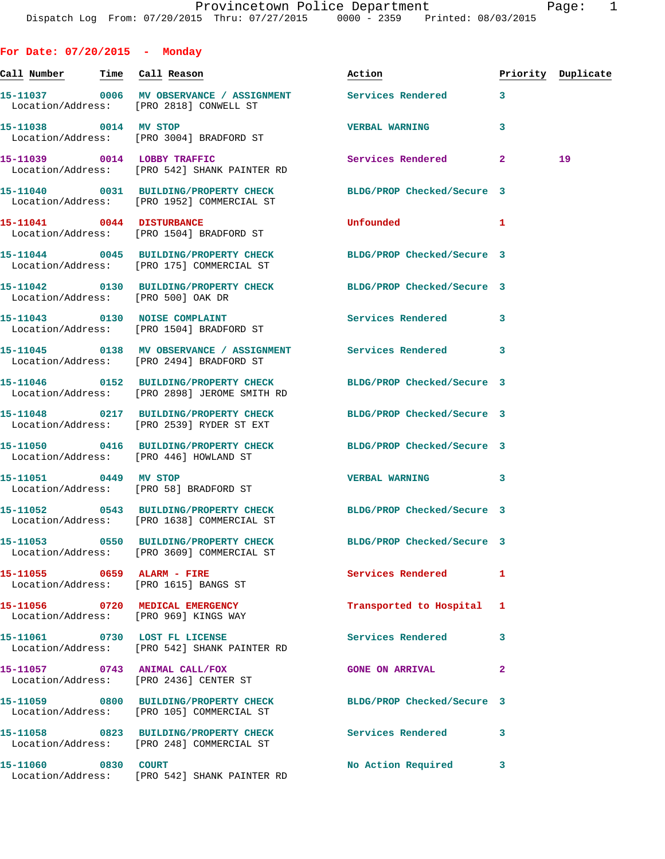| For Date: $07/20/2015$ - Monday       |                                                                               |                                                                  |                         |                    |
|---------------------------------------|-------------------------------------------------------------------------------|------------------------------------------------------------------|-------------------------|--------------------|
| <u>Call Number — Time Call Reason</u> |                                                                               | Action                                                           |                         | Priority Duplicate |
|                                       | Location/Address: [PRO 2818] CONWELL ST                                       | 15-11037 0006 MV OBSERVANCE / ASSIGNMENT Services Rendered 3     |                         |                    |
| 15-11038 0014 MV STOP                 | Location/Address: [PRO 3004] BRADFORD ST                                      | <b>VERBAL WARNING</b>                                            | 3                       |                    |
|                                       | 15-11039 0014 LOBBY TRAFFIC<br>Location/Address: [PRO 542] SHANK PAINTER RD   | Services Rendered                                                | $\mathbf{2}$            | 19                 |
|                                       | Location/Address: [PRO 1952] COMMERCIAL ST                                    | 15-11040 0031 BUILDING/PROPERTY CHECK BLDG/PROP Checked/Secure 3 |                         |                    |
|                                       | 15-11041 0044 DISTURBANCE<br>Location/Address: [PRO 1504] BRADFORD ST         | Unfounded                                                        | $\blacksquare$          |                    |
|                                       | Location/Address: [PRO 175] COMMERCIAL ST                                     | 15-11044 0045 BUILDING/PROPERTY CHECK BLDG/PROP Checked/Secure 3 |                         |                    |
| Location/Address: [PRO 500] OAK DR    |                                                                               | 15-11042 0130 BUILDING/PROPERTY CHECK BLDG/PROP Checked/Secure 3 |                         |                    |
|                                       | 15-11043 0130 NOISE COMPLAINT<br>Location/Address: [PRO 1504] BRADFORD ST     | <b>Services Rendered</b>                                         | $\overline{\mathbf{3}}$ |                    |
|                                       | Location/Address: [PRO 2494] BRADFORD ST                                      | 15-11045 0138 MV OBSERVANCE / ASSIGNMENT Services Rendered 3     |                         |                    |
|                                       | Location/Address: [PRO 2898] JEROME SMITH RD                                  | 15-11046 0152 BUILDING/PROPERTY CHECK BLDG/PROP Checked/Secure 3 |                         |                    |
|                                       | Location/Address: [PRO 2539] RYDER ST EXT                                     | 15-11048 0217 BUILDING/PROPERTY CHECK BLDG/PROP Checked/Secure 3 |                         |                    |
|                                       | Location/Address: [PRO 446] HOWLAND ST                                        | 15-11050 0416 BUILDING/PROPERTY CHECK BLDG/PROP Checked/Secure 3 |                         |                    |
| 15-11051 0449 MV STOP                 | Location/Address: [PRO 58] BRADFORD ST                                        | <b>VERBAL WARNING</b>                                            | 3                       |                    |
|                                       | Location/Address: [PRO 1638] COMMERCIAL ST                                    | 15-11052 0543 BUILDING/PROPERTY CHECK BLDG/PROP Checked/Secure 3 |                         |                    |
|                                       | Location/Address: [PRO 3609] COMMERCIAL ST                                    | 15-11053 0550 BUILDING/PROPERTY CHECK BLDG/PROP Checked/Secure 3 |                         |                    |
|                                       | Location/Address: [PRO 1615] BANGS ST                                         | Services Rendered                                                | 1                       |                    |
|                                       | 15-11056 0720 MEDICAL EMERGENCY<br>Location/Address: [PRO 969] KINGS WAY      | Transported to Hospital 1                                        |                         |                    |
|                                       | 15-11061 0730 LOST FL LICENSE<br>Location/Address: [PRO 542] SHANK PAINTER RD | Services Rendered                                                | 3                       |                    |
| 15-11057 0743 ANIMAL CALL/FOX         | Location/Address: [PRO 2436] CENTER ST                                        | <b>GONE ON ARRIVAL</b>                                           | $\mathbf{2}$            |                    |
|                                       | Location/Address: [PRO 105] COMMERCIAL ST                                     | 15-11059 0800 BUILDING/PROPERTY CHECK BLDG/PROP Checked/Secure 3 |                         |                    |
|                                       | Location/Address: [PRO 248] COMMERCIAL ST                                     | 15-11058 0823 BUILDING/PROPERTY CHECK Services Rendered          | 3                       |                    |
| 15-11060 0830 COURT                   | Location/Address: [PRO 542] SHANK PAINTER RD                                  | No Action Required                                               | 3                       |                    |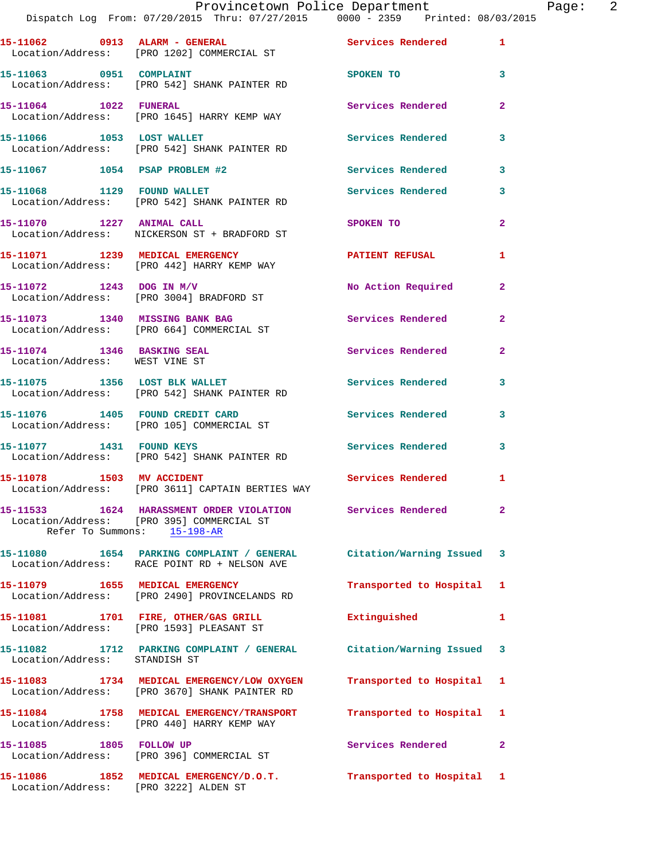|                                       | Provincetown Police Department<br>Dispatch Log From: 07/20/2015 Thru: 07/27/2015 0000 - 2359 Printed: 08/03/2015    |                                                      |              | Page: 2 |  |
|---------------------------------------|---------------------------------------------------------------------------------------------------------------------|------------------------------------------------------|--------------|---------|--|
|                                       | 15-11062 0913 ALARM - GENERAL Services Rendered 1<br>Location/Address: [PRO 1202] COMMERCIAL ST                     |                                                      |              |         |  |
| 15-11063 0951 COMPLAINT               | Location/Address: [PRO 542] SHANK PAINTER RD                                                                        | SPOKEN TO AND TO A REAL PROPERTY OF A REAL PROPERTY. | $\mathbf{3}$ |         |  |
|                                       | 15-11064 1022 FUNERAL<br>Location/Address: [PRO 1645] HARRY KEMP WAY                                                | Services Rendered 2                                  |              |         |  |
|                                       | 15-11066 1053 LOST WALLET<br>Location/Address: [PRO 542] SHANK PAINTER RD                                           | Services Rendered                                    | 3            |         |  |
|                                       | 15-11067    1054    PSAP PROBLEM #2                                                                                 | Services Rendered 3                                  |              |         |  |
|                                       | 15-11068 1129 FOUND WALLET<br>Location/Address: [PRO 542] SHANK PAINTER RD                                          | Services Rendered 3                                  |              |         |  |
|                                       | 15-11070 1227 ANIMAL CALL<br>Location/Address: NICKERSON ST + BRADFORD ST                                           | SPOKEN TO                                            | $\mathbf{2}$ |         |  |
|                                       | 15-11071 1239 MEDICAL EMERGENCY<br>Location/Address: [PRO 442] HARRY KEMP WAY                                       | PATIENT REFUSAL                                      | 1            |         |  |
|                                       | 15-11072 1243 DOG IN M/V<br>Location/Address: [PRO 3004] BRADFORD ST                                                | No Action Required 2                                 |              |         |  |
|                                       | 15-11073 1340 MISSING BANK BAG<br>Location/Address: [PRO 664] COMMERCIAL ST                                         | Services Rendered                                    | $\mathbf{2}$ |         |  |
| Location/Address: WEST VINE ST        | 15-11074 1346 BASKING SEAL                                                                                          | Services Rendered 2                                  |              |         |  |
|                                       | 15-11075 1356 LOST BLK WALLET<br>Location/Address: [PRO 542] SHANK PAINTER RD                                       | Services Rendered                                    | 3            |         |  |
|                                       | 15-11076 1405 FOUND CREDIT CARD Services Rendered 3<br>Location/Address: [PRO 105] COMMERCIAL ST                    |                                                      |              |         |  |
|                                       | 15-11077 1431 FOUND KEYS<br>Location/Address: [PRO 542] SHANK PAINTER RD                                            | Services Rendered 3                                  |              |         |  |
| 15-11078 1503 MV ACCIDENT             | Location/Address: [PRO 3611] CAPTAIN BERTIES WAY                                                                    | Services Rendered 1                                  |              |         |  |
| Refer To Summons: 15-198-AR           | 15-11533 1624 HARASSMENT ORDER VIOLATION Services Rendered 2<br>Location/Address: [PRO 395] COMMERCIAL ST           |                                                      |              |         |  |
|                                       | 15-11080 1654 PARKING COMPLAINT / GENERAL Citation/Warning Issued 3<br>Location/Address: RACE POINT RD + NELSON AVE |                                                      |              |         |  |
|                                       | 15-11079 1655 MEDICAL EMERGENCY<br>Location/Address: [PRO 2490] PROVINCELANDS RD                                    | Transported to Hospital 1                            |              |         |  |
|                                       | 15-11081 1701 FIRE, OTHER/GAS GRILL<br>Location/Address: [PRO 1593] PLEASANT ST                                     | Extinguished                                         | $\mathbf{1}$ |         |  |
| Location/Address: STANDISH ST         | 15-11082 1712 PARKING COMPLAINT / GENERAL Citation/Warning Issued 3                                                 |                                                      |              |         |  |
|                                       | 15-11083 1734 MEDICAL EMERGENCY/LOW OXYGEN<br>Location/Address: [PRO 3670] SHANK PAINTER RD                         | Transported to Hospital 1                            |              |         |  |
|                                       | 15-11084 1758 MEDICAL EMERGENCY/TRANSPORT<br>Location/Address: [PRO 440] HARRY KEMP WAY                             | Transported to Hospital 1                            |              |         |  |
| 15-11085   1805   FOLLOW UP           | Location/Address: [PRO 396] COMMERCIAL ST                                                                           | Services Rendered 2                                  |              |         |  |
| Location/Address: [PRO 3222] ALDEN ST | 15-11086 1852 MEDICAL EMERGENCY/D.O.T. Transported to Hospital 1                                                    |                                                      |              |         |  |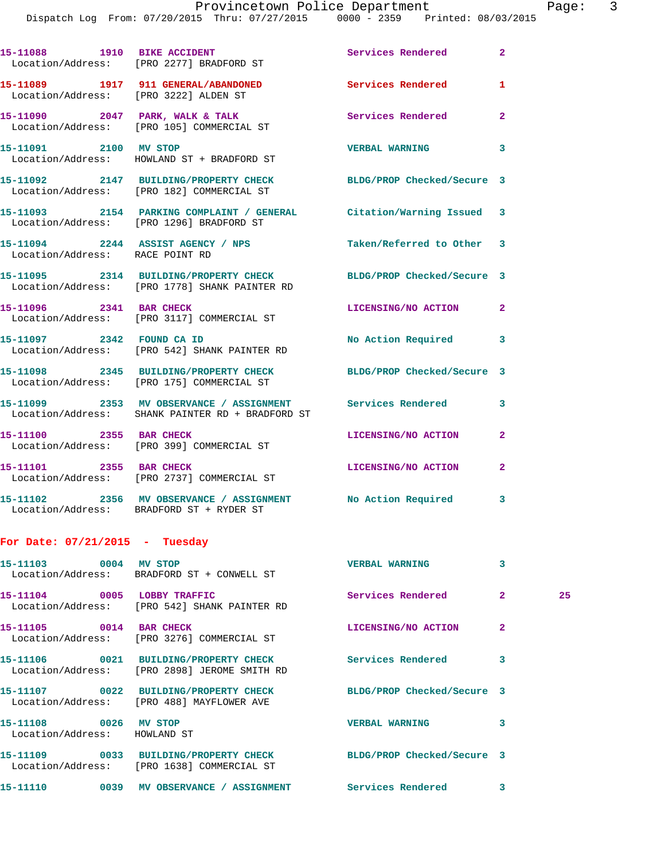|                                                       | 15-11088 1910 BIKE ACCIDENT<br>Location/Address: [PRO 2277] BRADFORD ST                                           | Services Rendered          | $\mathbf{2}$   |    |
|-------------------------------------------------------|-------------------------------------------------------------------------------------------------------------------|----------------------------|----------------|----|
|                                                       | 15-11089 1917 911 GENERAL/ABANDONED<br>Location/Address: [PRO 3222] ALDEN ST                                      | Services Rendered          | 1              |    |
|                                                       | 15-11090 2047 PARK, WALK & TALK<br>Location/Address: [PRO 105] COMMERCIAL ST                                      | Services Rendered          | $\overline{2}$ |    |
| 15-11091 2100 MV STOP                                 | Location/Address: HOWLAND ST + BRADFORD ST                                                                        | VERBAL WARNING 3           |                |    |
|                                                       | 15-11092 2147 BUILDING/PROPERTY CHECK BLDG/PROP Checked/Secure 3<br>Location/Address: [PRO 182] COMMERCIAL ST     |                            |                |    |
|                                                       | 15-11093 2154 PARKING COMPLAINT / GENERAL Citation/Warning Issued 3<br>Location/Address: [PRO 1296] BRADFORD ST   |                            |                |    |
| Location/Address: RACE POINT RD                       | 15-11094 2244 ASSIST AGENCY / NPS Taken/Referred to Other 3                                                       |                            |                |    |
|                                                       | 15-11095 2314 BUILDING/PROPERTY CHECK BLDG/PROP Checked/Secure 3<br>Location/Address: [PRO 1778] SHANK PAINTER RD |                            |                |    |
|                                                       | 15-11096 2341 BAR CHECK<br>Location/Address: [PRO 3117] COMMERCIAL ST                                             | LICENSING/NO ACTION 2      |                |    |
|                                                       | 15-11097 2342 FOUND CA ID<br>Location/Address: [PRO 542] SHANK PAINTER RD                                         | No Action Required 3       |                |    |
|                                                       | 15-11098 2345 BUILDING/PROPERTY CHECK BLDG/PROP Checked/Secure 3<br>Location/Address: [PRO 175] COMMERCIAL ST     |                            |                |    |
|                                                       | 15-11099 2353 MV OBSERVANCE / ASSIGNMENT Services Rendered<br>Location/Address: SHANK PAINTER RD + BRADFORD ST    |                            | 3              |    |
| 15-11100 2355 BAR CHECK                               | Location/Address: [PRO 399] COMMERCIAL ST                                                                         | LICENSING/NO ACTION        | $\overline{2}$ |    |
|                                                       | 15-11101 2355 BAR CHECK<br>Location/Address: [PRO 2737] COMMERCIAL ST                                             | LICENSING/NO ACTION        | $\mathbf{2}$   |    |
|                                                       | 15-11102 2356 MV OBSERVANCE / ASSIGNMENT No Action Required 3<br>Location/Address: BRADFORD ST + RYDER ST         |                            |                |    |
| For Date: $07/21/2015$ - Tuesday                      |                                                                                                                   |                            |                |    |
| 15-11103 0004 MV STOP                                 | Location/Address: BRADFORD ST + CONWELL ST                                                                        | <b>VERBAL WARNING</b>      | 3              |    |
| 15-11104 0005 LOBBY TRAFFIC                           | Location/Address: [PRO 542] SHANK PAINTER RD                                                                      | Services Rendered          | $\mathbf{2}$   | 25 |
| 15-11105 0014 BAR CHECK                               | Location/Address: [PRO 3276] COMMERCIAL ST                                                                        | LICENSING/NO ACTION        | 2              |    |
|                                                       | 15-11106 0021 BUILDING/PROPERTY CHECK<br>Location/Address: [PRO 2898] JEROME SMITH RD                             | Services Rendered          | 3              |    |
|                                                       | 15-11107 0022 BUILDING/PROPERTY CHECK<br>Location/Address: [PRO 488] MAYFLOWER AVE                                | BLDG/PROP Checked/Secure 3 |                |    |
| 15-11108 0026 MV STOP<br>Location/Address: HOWLAND ST |                                                                                                                   | <b>VERBAL WARNING</b>      | 3              |    |
|                                                       |                                                                                                                   |                            |                |    |

**15-11109 0033 BUILDING/PROPERTY CHECK BLDG/PROP Checked/Secure 3** 

Location/Address: [PRO 1638] COMMERCIAL ST

**15-11110 0039 MV OBSERVANCE / ASSIGNMENT Services Rendered 3**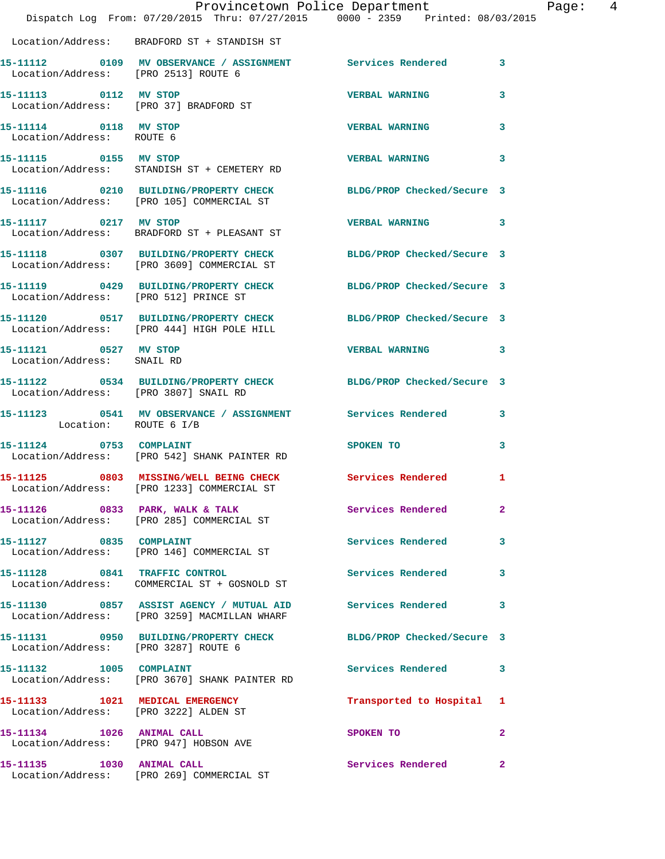|                                                     | Provincetown Police Department<br>Dispatch Log From: 07/20/2015 Thru: 07/27/2015 0000 - 2359 Printed: 08/03/2015 |                                                    | Page: 4      |  |
|-----------------------------------------------------|------------------------------------------------------------------------------------------------------------------|----------------------------------------------------|--------------|--|
|                                                     | Location/Address: BRADFORD ST + STANDISH ST                                                                      |                                                    |              |  |
| Location/Address: [PRO 2513] ROUTE 6                | 15-11112 0109 MV OBSERVANCE / ASSIGNMENT Services Rendered 3                                                     |                                                    |              |  |
| 15-11113 0112 MV STOP                               | Location/Address: [PRO 37] BRADFORD ST                                                                           | <b>VERBAL WARNING</b> 3                            |              |  |
| 15-11114 0118 MV STOP<br>Location/Address: ROUTE 6  |                                                                                                                  | <b>VERBAL WARNING</b>                              | 3            |  |
|                                                     | 15-11115 0155 MV STOP<br>Location/Address: STANDISH ST + CEMETERY RD                                             | VERBAL WARNING 3                                   |              |  |
|                                                     | 15-11116  0210 BUILDING/PROPERTY CHECK BLDG/PROP Checked/Secure 3<br>Location/Address: [PRO 105] COMMERCIAL ST   |                                                    |              |  |
| 15-11117 0217 MV STOP                               | Location/Address: BRADFORD ST + PLEASANT ST                                                                      | VERBAL WARNING 3                                   |              |  |
|                                                     | 15-11118 0307 BUILDING/PROPERTY CHECK BLDG/PROP Checked/Secure 3<br>Location/Address: [PRO 3609] COMMERCIAL ST   |                                                    |              |  |
|                                                     | 15-11119 0429 BUILDING/PROPERTY CHECK BLDG/PROP Checked/Secure 3<br>Location/Address: [PRO 512] PRINCE ST        |                                                    |              |  |
|                                                     | 15-11120 0517 BUILDING/PROPERTY CHECK BLDG/PROP Checked/Secure 3<br>Location/Address: [PRO 444] HIGH POLE HILL   |                                                    |              |  |
| 15-11121 0527 MV STOP<br>Location/Address: SNAIL RD |                                                                                                                  | VERBAL WARNING 3                                   |              |  |
|                                                     | 15-11122 0534 BUILDING/PROPERTY CHECK BLDG/PROP Checked/Secure 3<br>Location/Address: [PRO 3807] SNAIL RD        |                                                    |              |  |
| Location: ROUTE 6 I/B                               | 15-11123 0541 MV OBSERVANCE / ASSIGNMENT Services Rendered 3                                                     |                                                    |              |  |
| 15-11124 0753 COMPLAINT                             | Location/Address: [PRO 542] SHANK PAINTER RD                                                                     | SPOKEN TO AND TO A REAL PROPERTY OF REAL PROPERTY. | $\mathbf{3}$ |  |
|                                                     | 15-11125 0803 MISSING/WELL BEING CHECK Services Rendered<br>Location/Address: [PRO 1233] COMMERCIAL ST           |                                                    | 1            |  |
|                                                     | 15-11126 0833 PARK, WALK & TALK<br>Location/Address: [PRO 285] COMMERCIAL ST                                     | Services Rendered                                  | $\mathbf{2}$ |  |
|                                                     | 15-11127 0835 COMPLAINT<br>Location/Address: [PRO 146] COMMERCIAL ST                                             | Services Rendered 3                                |              |  |
|                                                     | 15-11128 0841 TRAFFIC CONTROL<br>Location/Address: COMMERCIAL ST + GOSNOLD ST                                    | Services Rendered 3                                |              |  |
|                                                     | 15-11130 0857 ASSIST AGENCY / MUTUAL AID Services Rendered 3<br>Location/Address: [PRO 3259] MACMILLAN WHARF     |                                                    |              |  |
| Location/Address: [PRO 3287] ROUTE 6                | 15-11131 0950 BUILDING/PROPERTY CHECK BLDG/PROP Checked/Secure 3                                                 |                                                    |              |  |
|                                                     | 15-11132    1005    COMPLAINT<br>Location/Address: [PRO 3670] SHANK PAINTER RD                                   | Services Rendered 3                                |              |  |
|                                                     | 15-11133 1021 MEDICAL EMERGENCY<br>Location/Address: [PRO 3222] ALDEN ST                                         | Transported to Hospital 1                          |              |  |
|                                                     | 15-11134 1026 ANIMAL CALL<br>Location/Address: [PRO 947] HOBSON AVE                                              | SPOKEN TO AND TO A THE SPOKEN TO                   | $\mathbf{2}$ |  |
| 15-11135 1030 ANIMAL CALL                           | Location/Address: [PRO 269] COMMERCIAL ST                                                                        | Services Rendered 2                                |              |  |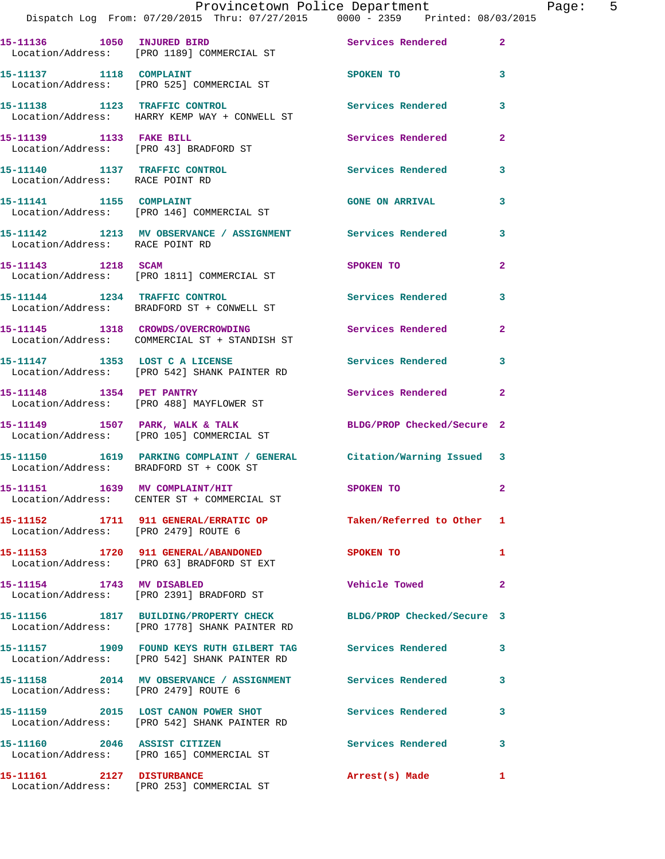|                                      | Provincetown Police Department The Page: 5<br>Dispatch Log From: 07/20/2015 Thru: 07/27/2015 0000 - 2359 Printed: 08/03/2015 |                           |              |
|--------------------------------------|------------------------------------------------------------------------------------------------------------------------------|---------------------------|--------------|
|                                      | 15-11136 1050 INJURED BIRD 15-11136 2<br>Location/Address: [PRO 1189] COMMERCIAL ST                                          |                           |              |
|                                      | 15-11137 1118 COMPLAINT<br>Location/Address: [PRO 525] COMMERCIAL ST                                                         | SPOKEN TO 3               |              |
|                                      | 15-11138 1123 TRAFFIC CONTROL<br>Location/Address: HARRY KEMP WAY + CONWELL ST                                               | Services Rendered         | 3            |
|                                      | 15-11139 1133 FAKE BILL<br>Location/Address: [PRO 43] BRADFORD ST                                                            | Services Rendered         | $\mathbf{2}$ |
| Location/Address: RACE POINT RD      | 15-11140 1137 TRAFFIC CONTROL                                                                                                | Services Rendered 3       |              |
|                                      | 15-11141 1155 COMPLAINT 1155 COMPLAINT<br>Location/Address: [PRO 146] COMMERCIAL ST                                          |                           | 3            |
| Location/Address: RACE POINT RD      | 15-11142 1213 MV OBSERVANCE / ASSIGNMENT Services Rendered 3                                                                 |                           |              |
| 15-11143 1218 SCAM                   | Location/Address: [PRO 1811] COMMERCIAL ST                                                                                   | SPOKEN TO                 | $\mathbf{2}$ |
|                                      | 15-11144 1234 TRAFFIC CONTROL<br>Location/Address: BRADFORD ST + CONWELL ST                                                  | Services Rendered 3       |              |
|                                      | 15-11145 1318 CROWDS/OVERCROWDING Services Rendered<br>Location/Address: COMMERCIAL ST + STANDISH ST                         |                           | $\mathbf{2}$ |
|                                      | 15-11147 1353 LOST C A LICENSE Services Rendered 3<br>Location/Address: [PRO 542] SHANK PAINTER RD                           |                           |              |
|                                      | 15-11148    1354    PET PANTRY<br>Location/Address: [PRO 488] MAYFLOWER ST                                                   | Services Rendered         | $\mathbf{2}$ |
|                                      | 15-11149 1507 PARK, WALK & TALK BLDG/PROP Checked/Secure 2<br>Location/Address: [PRO 105] COMMERCIAL ST                      |                           |              |
|                                      | 15-11150 1619 PARKING COMPLAINT / GENERAL Citation/Warning Issued 3<br>Location/Address: BRADFORD ST + COOK ST               |                           |              |
|                                      | 15-11151 1639 MV COMPLAINT/HIT<br>Location/Address: CENTER ST + COMMERCIAL ST                                                | <b>SPOKEN TO</b>          |              |
| Location/Address: [PRO 2479] ROUTE 6 | 15-11152 1711 911 GENERAL/ERRATIC OP                                                                                         | Taken/Referred to Other 1 |              |
|                                      | 15-11153    1720    911    GENERAL/ABANDONED<br>Location/Address: [PRO 63] BRADFORD ST EXT                                   | SPOKEN TO                 | 1            |
|                                      | 15-11154 1743 MV DISABLED<br>Location/Address: [PRO 2391] BRADFORD ST                                                        | <b>Vehicle Towed</b>      | $\mathbf{2}$ |
|                                      | 15-11156 1817 BUILDING/PROPERTY CHECK BLDG/PROP Checked/Secure 3<br>Location/Address: [PRO 1778] SHANK PAINTER RD            |                           |              |
|                                      | 15-11157 1909 FOUND KEYS RUTH GILBERT TAG Services Rendered<br>Location/Address: [PRO 542] SHANK PAINTER RD                  |                           | 3            |
| Location/Address: [PRO 2479] ROUTE 6 | 15-11158 2014 MV OBSERVANCE / ASSIGNMENT Services Rendered                                                                   |                           | $\mathbf{3}$ |
|                                      | 15-11159 2015 LOST CANON POWER SHOT Services Rendered<br>Location/Address: [PRO 542] SHANK PAINTER RD                        |                           | 3            |
| 15-11160 2046 ASSIST CITIZEN         | Location/Address: [PRO 165] COMMERCIAL ST                                                                                    | <b>Services Rendered</b>  | 3            |
|                                      | 15-11161 2127 DISTURBANCE<br>Location/Address: [PRO 253] COMMERCIAL ST                                                       | Arrest(s) Made            | 1.           |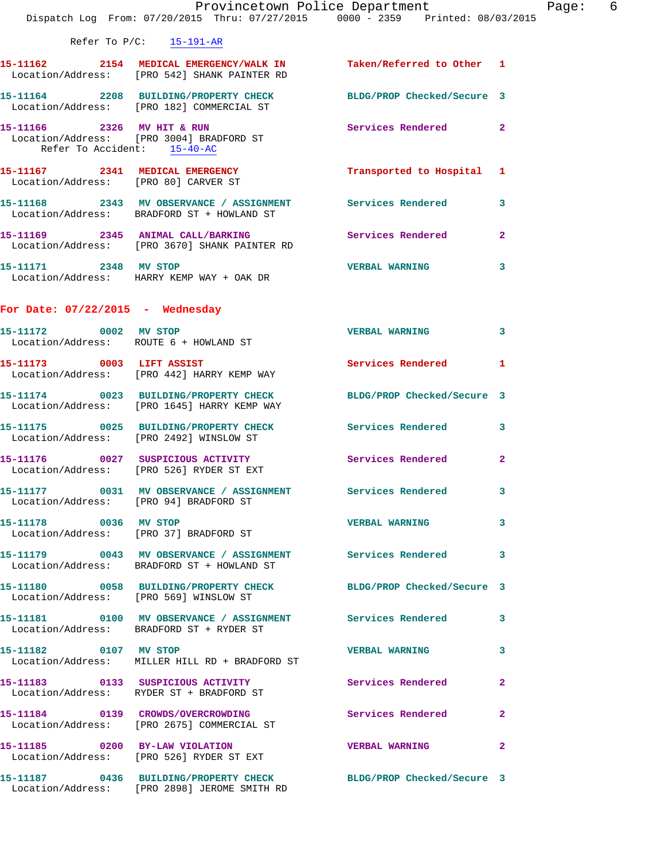|                                        | Refer To $P/C$ : 15-191-AR                                                                                        |                            |                         |
|----------------------------------------|-------------------------------------------------------------------------------------------------------------------|----------------------------|-------------------------|
|                                        | 15-11162 2154 MEDICAL EMERGENCY/WALK IN Taken/Referred to Other 1<br>Location/Address: [PRO 542] SHANK PAINTER RD |                            |                         |
|                                        | 15-11164 2208 BUILDING/PROPERTY CHECK<br>Location/Address: [PRO 182] COMMERCIAL ST                                | BLDG/PROP Checked/Secure 3 |                         |
| Refer To Accident: 15-40-AC            | 15-11166 2326 MV HIT & RUN<br>Location/Address: [PRO 3004] BRADFORD ST                                            | Services Rendered 2        |                         |
|                                        | 15-11167 2341 MEDICAL EMERGENCY<br>Location/Address: [PRO 80] CARVER ST                                           | Transported to Hospital 1  |                         |
|                                        | 15-11168 2343 MV OBSERVANCE / ASSIGNMENT Services Rendered<br>Location/Address: BRADFORD ST + HOWLAND ST          |                            | 3                       |
|                                        | 15-11169 2345 ANIMAL CALL/BARKING Services Rendered 2<br>Location/Address: [PRO 3670] SHANK PAINTER RD            |                            |                         |
|                                        | 15-11171 2348 MV STOP<br>Location/Address: HARRY KEMP WAY + OAK DR                                                | <b>VERBAL WARNING</b>      | 3                       |
| For Date: $07/22/2015$ - Wednesday     |                                                                                                                   |                            |                         |
| 15-11172 0002 MV STOP                  | Location/Address: ROUTE 6 + HOWLAND ST                                                                            | <b>VERBAL WARNING</b>      | 3                       |
| 15-11173 0003 LIFT ASSIST              | Location/Address: [PRO 442] HARRY KEMP WAY                                                                        | <b>Services Rendered</b> 1 |                         |
|                                        | 15-11174 0023 BUILDING/PROPERTY CHECK<br>Location/Address: [PRO 1645] HARRY KEMP WAY                              | BLDG/PROP Checked/Secure 3 |                         |
|                                        | 15-11175 0025 BUILDING/PROPERTY CHECK Services Rendered<br>Location/Address: [PRO 2492] WINSLOW ST                |                            | $\overline{\mathbf{3}}$ |
|                                        | 15-11176 0027 SUSPICIOUS ACTIVITY<br>Location/Address: [PRO 526] RYDER ST EXT                                     | <b>Services Rendered</b>   | $\overline{\mathbf{2}}$ |
| Location/Address: [PRO 94] BRADFORD ST | 15-11177 0031 MV OBSERVANCE / ASSIGNMENT Services Rendered                                                        |                            | $\overline{\mathbf{3}}$ |
| 15-11178 0036 MV STOP                  | Location/Address: [PRO 37] BRADFORD ST                                                                            | <b>VERBAL WARNING</b>      | 3                       |
|                                        | 15-11179 0043 MV OBSERVANCE / ASSIGNMENT Services Rendered 3<br>Location/Address: BRADFORD ST + HOWLAND ST        |                            |                         |
|                                        | 15-11180 0058 BUILDING/PROPERTY CHECK<br>Location/Address: [PRO 569] WINSLOW ST                                   | BLDG/PROP Checked/Secure 3 |                         |
|                                        | 15-11181 0100 MV OBSERVANCE / ASSIGNMENT Services Rendered 3<br>Location/Address: BRADFORD ST + RYDER ST          |                            |                         |
| 15-11182 0107 MV STOP                  | Location/Address: MILLER HILL RD + BRADFORD ST                                                                    | <b>VERBAL WARNING</b>      | 3                       |
|                                        | Location/Address: RYDER ST + BRADFORD ST                                                                          | Services Rendered          | $\mathbf{2}$            |
|                                        | 15-11184 0139 CROWDS/OVERCROWDING                                                                                 | Services Rendered 2        |                         |

 Location/Address: [PRO 2675] COMMERCIAL ST **15-11185 0200 BY-LAW VIOLATION VERBAL WARNING 2**  Location/Address: [PRO 526] RYDER ST EXT

**15-11187 0436 BUILDING/PROPERTY CHECK BLDG/PROP Checked/Secure 3**  Location/Address: [PRO 2898] JEROME SMITH RD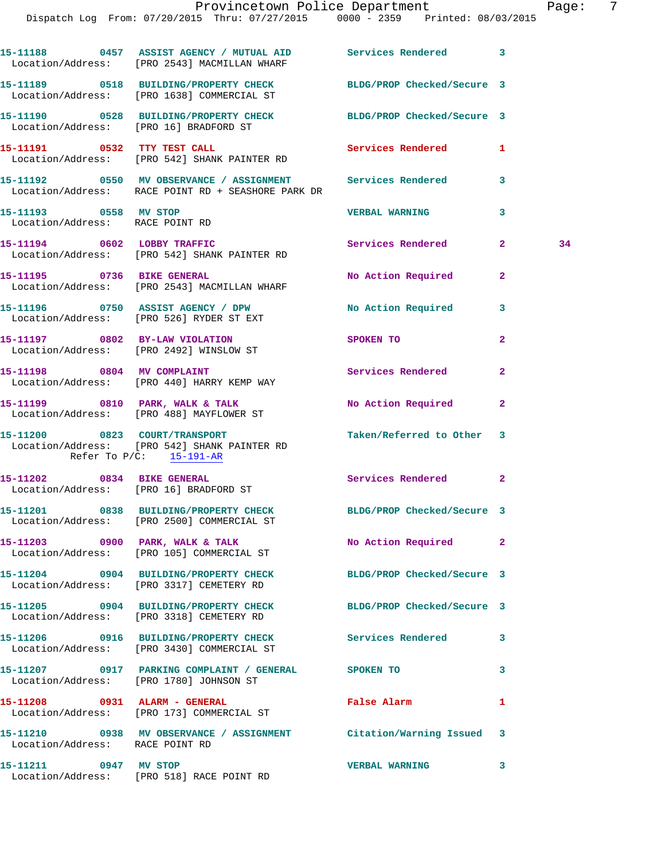Dispatch Log From: 07/20/2015 Thru: 07/27/2015 0000 - 2359 Printed: 08/03/2015

|                                 | 15-11188 0457 ASSIST AGENCY / MUTUAL AID<br>Location/Address: [PRO 2543] MACMILLAN WHARF                         | Services Rendered 3        |                |    |
|---------------------------------|------------------------------------------------------------------------------------------------------------------|----------------------------|----------------|----|
|                                 | 15-11189 0518 BUILDING/PROPERTY CHECK BLDG/PROP Checked/Secure 3<br>Location/Address: [PRO 1638] COMMERCIAL ST   |                            |                |    |
|                                 | 15-11190 0528 BUILDING/PROPERTY CHECK BLDG/PROP Checked/Secure 3<br>Location/Address: [PRO 16] BRADFORD ST       |                            |                |    |
|                                 | 15-11191 0532 TTY TEST CALL<br>Location/Address: [PRO 542] SHANK PAINTER RD                                      | Services Rendered          | $\mathbf{1}$   |    |
|                                 | 15-11192 0550 MV OBSERVANCE / ASSIGNMENT Services Rendered<br>Location/Address: RACE POINT RD + SEASHORE PARK DR |                            | 3              |    |
| 15-11193 0558 MV STOP           | Location/Address: RACE POINT RD                                                                                  | <b>VERBAL WARNING</b>      | 3              |    |
|                                 | 15-11194 0602 LOBBY TRAFFIC<br>Location/Address: [PRO 542] SHANK PAINTER RD                                      | Services Rendered          | $\mathbf{2}$   | 34 |
|                                 | 15-11195 0736 BIKE GENERAL<br>Location/Address: [PRO 2543] MACMILLAN WHARF                                       | No Action Required         | $\mathbf{2}$   |    |
|                                 | 15-11196 0750 ASSIST AGENCY / DPW No Action Required<br>Location/Address: [PRO 526] RYDER ST EXT                 |                            | 3              |    |
|                                 | 15-11197 0802 BY-LAW VIOLATION<br>Location/Address: [PRO 2492] WINSLOW ST                                        | SPOKEN TO                  | $\overline{a}$ |    |
|                                 | 15-11198 0804 MV COMPLAINT<br>Location/Address: [PRO 440] HARRY KEMP WAY                                         | <b>Services Rendered</b>   | $\mathbf{2}$   |    |
|                                 | 15-11199 0810 PARK, WALK & TALK<br>Location/Address: [PRO 488] MAYFLOWER ST                                      | No Action Required         | $\mathbf{2}$   |    |
|                                 | 15-11200 0823 COURT/TRANSPORT<br>Location/Address: [PRO 542] SHANK PAINTER RD<br>Refer To $P/C$ : 15-191-AR      | Taken/Referred to Other 3  |                |    |
|                                 | 15-11202 0834 BIKE GENERAL<br>Location/Address: [PRO 16] BRADFORD ST                                             | Services Rendered          | $\mathbf{2}$   |    |
|                                 | 15-11201 0838 BUILDING/PROPERTY CHECK BLDG/PROP Checked/Secure 3<br>Location/Address: [PRO 2500] COMMERCIAL ST   |                            |                |    |
|                                 | 15-11203 0900 PARK, WALK & TALK<br>Location/Address: [PRO 105] COMMERCIAL ST                                     | No Action Required         | 2              |    |
|                                 | 15-11204 0904 BUILDING/PROPERTY CHECK<br>Location/Address: [PRO 3317] CEMETERY RD                                | BLDG/PROP Checked/Secure 3 |                |    |
|                                 | 15-11205 0904 BUILDING/PROPERTY CHECK<br>Location/Address: [PRO 3318] CEMETERY RD                                | BLDG/PROP Checked/Secure 3 |                |    |
|                                 | 15-11206 0916 BUILDING/PROPERTY CHECK Services Rendered<br>Location/Address: [PRO 3430] COMMERCIAL ST            |                            | 3              |    |
|                                 | 15-11207 0917 PARKING COMPLAINT / GENERAL SPOKEN TO<br>Location/Address: [PRO 1780] JOHNSON ST                   |                            | 3              |    |
|                                 | 15-11208 0931 ALARM - GENERAL<br>Location/Address: [PRO 173] COMMERCIAL ST                                       | False Alarm                | 1              |    |
| Location/Address: RACE POINT RD | 15-11210 0938 MV OBSERVANCE / ASSIGNMENT Citation/Warning Issued                                                 |                            | 3              |    |
| 15-11211 0947 MV STOP           | Location/Address: [PRO 518] RACE POINT RD                                                                        | <b>VERBAL WARNING</b>      | 3              |    |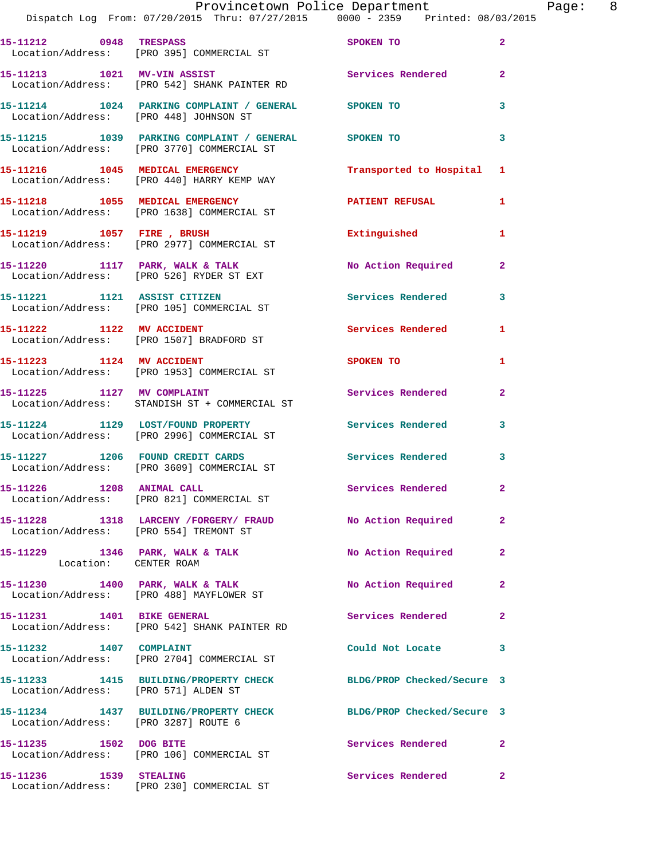|                                        | Provincetown Police Department The Page: 8<br>Dispatch Log From: 07/20/2015 Thru: 07/27/2015 0000 - 2359 Printed: 08/03/2015 |                             |                |  |
|----------------------------------------|------------------------------------------------------------------------------------------------------------------------------|-----------------------------|----------------|--|
|                                        | 15-11212 0948 TRESPASS<br>Location/Address: [PRO 395] COMMERCIAL ST                                                          | SPOKEN TO                   | $\overline{2}$ |  |
|                                        | 15-11213 1021 MV-VIN ASSIST<br>Location/Address: [PRO 542] SHANK PAINTER RD                                                  | Services Rendered           | $\mathbf{2}$   |  |
|                                        | 15-11214   1024   PARKING COMPLAINT / GENERAL   SPOKEN TO<br>Location/Address: [PRO 448] JOHNSON ST                          |                             | 3              |  |
|                                        | 15-11215 1039 PARKING COMPLAINT / GENERAL SPOKEN TO<br>Location/Address: [PRO 3770] COMMERCIAL ST                            |                             | 3              |  |
|                                        | 15-11216 1045 MEDICAL EMERGENCY<br>Location/Address: [PRO 440] HARRY KEMP WAY                                                | Transported to Hospital 1   |                |  |
|                                        | 15-11218 1055 MEDICAL EMERGENCY <b>EXECUTE A PATIENT REFUSAL</b><br>Location/Address: [PRO 1638] COMMERCIAL ST               |                             | 1              |  |
|                                        | 15-11219    1057    FIRE , BRUSH<br>Location/Address: [PRO 2977] COMMERCIAL ST                                               | Extinguished                | 1              |  |
|                                        | 15-11220 1117 PARK, WALK & TALK No Action Required<br>Location/Address: [PRO 526] RYDER ST EXT                               |                             | $\mathbf{2}$   |  |
|                                        | 15-11221 1121 ASSIST CITIZEN<br>Location/Address: [PRO 105] COMMERCIAL ST                                                    | Services Rendered 3         |                |  |
|                                        | 15-11222 1122 MV ACCIDENT<br>Location/Address: [PRO 1507] BRADFORD ST                                                        | <b>Services Rendered</b>    | 1              |  |
|                                        | 15-11223 1124 MV ACCIDENT<br>Location/Address: [PRO 1953] COMMERCIAL ST                                                      | SPOKEN TO AND THE SPOKEN TO | $\mathbf{1}$   |  |
|                                        | 15-11225 1127 MV COMPLAINT<br>Location/Address: STANDISH ST + COMMERCIAL ST                                                  | Services Rendered           | $\mathbf{2}$   |  |
|                                        | 15-11224 1129 LOST/FOUND PROPERTY Services Rendered<br>Location/Address: [PRO 2996] COMMERCIAL ST                            |                             | $\mathbf{3}$   |  |
|                                        |                                                                                                                              | Services Rendered 3         |                |  |
|                                        | 15-11226 1208 ANIMAL CALL<br>Location/Address: [PRO 821] COMMERCIAL ST                                                       | <b>Services Rendered</b>    |                |  |
| Location/Address: [PRO 554] TREMONT ST | 15-11228 1318 LARCENY / FORGERY / FRAUD No Action Required                                                                   |                             | $\mathbf{2}$   |  |
| Location: CENTER ROAM                  | 15-11229 1346 PARK, WALK & TALK                                                                                              | No Action Required          | $\mathbf{2}$   |  |
|                                        | 15-11230 1400 PARK, WALK & TALK<br>Location/Address: [PRO 488] MAYFLOWER ST                                                  | No Action Required          | $\mathbf{2}$   |  |
|                                        | 15-11231 1401 BIKE GENERAL<br>Location/Address: [PRO 542] SHANK PAINTER RD                                                   | Services Rendered           | $\overline{2}$ |  |
|                                        | 15-11232 1407 COMPLAINT<br>Location/Address: [PRO 2704] COMMERCIAL ST                                                        | Could Not Locate            | 3              |  |
| Location/Address: [PRO 571] ALDEN ST   | 15-11233 1415 BUILDING/PROPERTY CHECK BLDG/PROP Checked/Secure 3                                                             |                             |                |  |
| Location/Address: [PRO 3287] ROUTE 6   | 15-11234 1437 BUILDING/PROPERTY CHECK BLDG/PROP Checked/Secure 3                                                             |                             |                |  |
| 15-11235 1502 DOG BITE                 | Location/Address: [PRO 106] COMMERCIAL ST                                                                                    | Services Rendered           | $\mathbf{2}$   |  |
| 15-11236    1539    STEALING           |                                                                                                                              | Services Rendered           | $\mathbf{2}$   |  |

Location/Address: [PRO 230] COMMERCIAL ST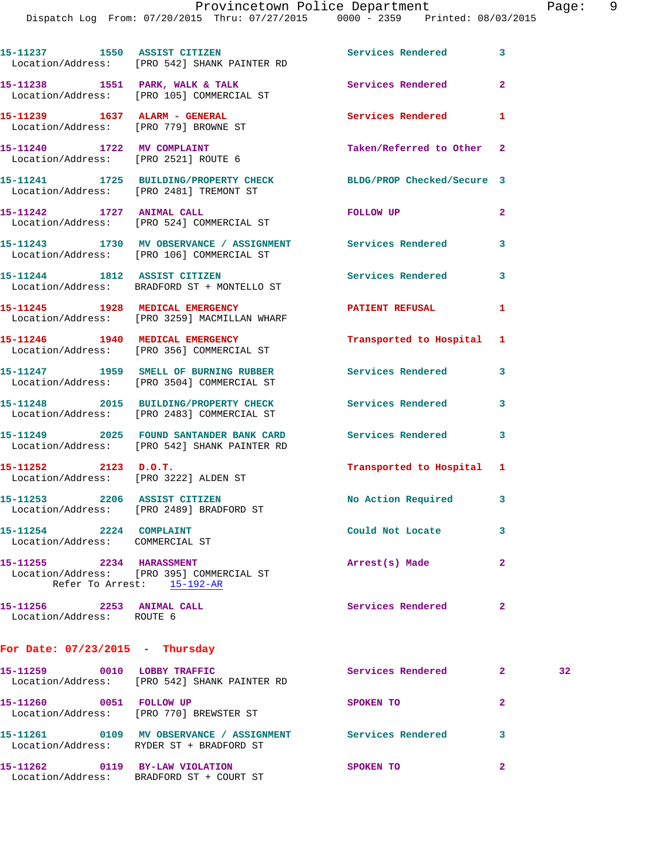|                                                                   | 15-11237 1550 ASSIST CITIZEN<br>Location/Address: [PRO 542] SHANK PAINTER RD                            | Services Rendered 3        |                         |
|-------------------------------------------------------------------|---------------------------------------------------------------------------------------------------------|----------------------------|-------------------------|
|                                                                   | 15-11238 1551 PARK, WALK & TALK<br>Location/Address: [PRO 105] COMMERCIAL ST                            | Services Rendered          | $\mathbf{2}$            |
| Location/Address: [PRO 779] BROWNE ST                             |                                                                                                         | Services Rendered          | 1                       |
| 15-11240 1722 MV COMPLAINT                                        | Location/Address: [PRO 2521] ROUTE 6                                                                    | Taken/Referred to Other 2  |                         |
| Location/Address: [PRO 2481] TREMONT ST                           | 15-11241 1725 BUILDING/PROPERTY CHECK                                                                   | BLDG/PROP Checked/Secure 3 |                         |
| 15-11242 1727 ANIMAL CALL                                         | Location/Address: [PRO 524] COMMERCIAL ST                                                               | FOLLOW UP                  | $\overline{2}$          |
|                                                                   | 15-11243 1730 MV OBSERVANCE / ASSIGNMENT Services Rendered<br>Location/Address: [PRO 106] COMMERCIAL ST |                            | $\overline{\mathbf{3}}$ |
| 15-11244 1812 ASSIST CITIZEN                                      | Location/Address: BRADFORD ST + MONTELLO ST                                                             | <b>Services Rendered</b>   | 3                       |
|                                                                   | 15-11245 1928 MEDICAL EMERGENCY<br>Location/Address: [PRO 3259] MACMILLAN WHARF                         | <b>PATIENT REFUSAL</b>     | $\mathbf{1}$            |
|                                                                   | 15-11246 1940 MEDICAL EMERGENCY<br>Location/Address: [PRO 356] COMMERCIAL ST                            | Transported to Hospital 1  |                         |
|                                                                   | 15-11247 1959 SMELL OF BURNING RUBBER<br>Location/Address: [PRO 3504] COMMERCIAL ST                     | Services Rendered          | 3                       |
|                                                                   | 15-11248 2015 BUILDING/PROPERTY CHECK<br>Location/Address: [PRO 2483] COMMERCIAL ST                     | <b>Services Rendered</b>   | 3                       |
|                                                                   | 15-11249 2025 FOUND SANTANDER BANK CARD<br>Location/Address: [PRO 542] SHANK PAINTER RD                 | Services Rendered          | 3                       |
| $15 - 11252$ 2123 D.O.T.<br>Location/Address: [PRO 3222] ALDEN ST |                                                                                                         | Transported to Hospital 1  |                         |
| 15-11253 2206 ASSIST CITIZEN                                      | Location/Address: [PRO 2489] BRADFORD ST                                                                | No Action Required 3       |                         |
| 15-11254 2224 COMPLAINT<br>Location/Address: COMMERCIAL ST        |                                                                                                         | Could Not Locate           | 3                       |
| 15-11255 2234 HARASSMENT                                          | Location/Address: [PRO 395] COMMERCIAL ST<br>Refer To Arrest: 15-192-AR                                 | Arrest(s) Made             | $\mathbf{2}$            |
| 15-11256 2253 ANIMAL CALL<br>Location/Address: ROUTE 6            |                                                                                                         | Services Rendered          | $\mathbf{2}$            |
| For Date: $07/23/2015$ - Thursday                                 |                                                                                                         |                            |                         |
| 15-11259 0010 LOBBY TRAFFIC                                       |                                                                                                         | Services Rendered 2        |                         |

| 15-11259 | 0010 | LOBBY TRAFFIC<br>Location/Address: [PRO 542] SHANK PAINTER RD          | Services Rendered | 2 | 32 <sub>1</sub> |
|----------|------|------------------------------------------------------------------------|-------------------|---|-----------------|
| 15–11260 | 0051 | <b>FOLLOW UP</b><br>Location/Address: [PRO 770] BREWSTER ST            | SPOKEN TO         |   |                 |
| 15–11261 | 0109 | MV OBSERVANCE / ASSIGNMENT<br>Location/Address: RYDER ST + BRADFORD ST | Services Rendered |   |                 |
| 15-11262 | 0119 | <b>BY-LAW VIOLATION</b><br>Location/Address: BRADFORD ST + COURT ST    | <b>SPOKEN TO</b>  | 2 |                 |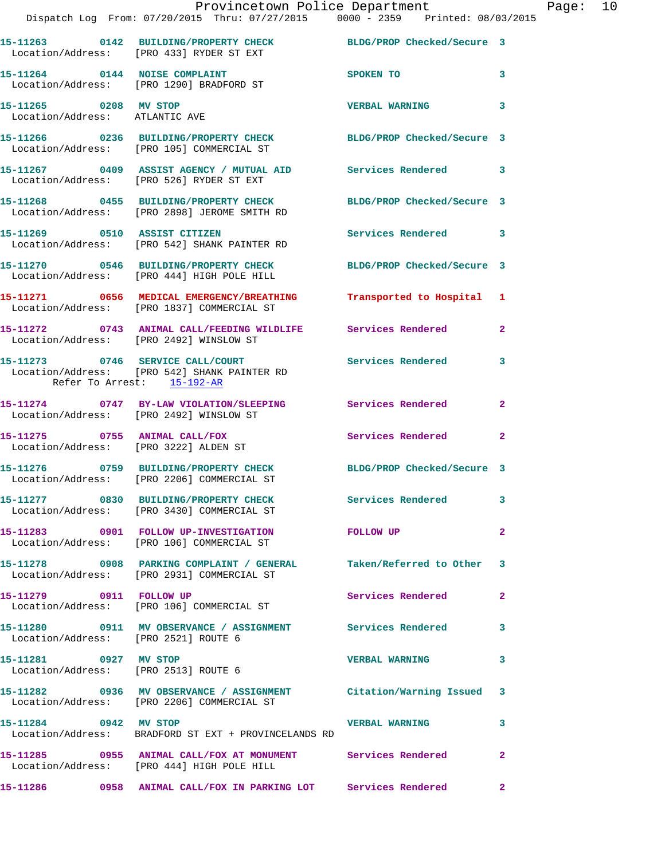|                                                               | Provincetown Police Department<br>Dispatch Log From: 07/20/2015 Thru: 07/27/2015 0000 - 2359 Printed: 08/03/2015  |                       |                         | Page: 10 |  |
|---------------------------------------------------------------|-------------------------------------------------------------------------------------------------------------------|-----------------------|-------------------------|----------|--|
|                                                               |                                                                                                                   |                       |                         |          |  |
|                                                               | 15-11263 0142 BUILDING/PROPERTY CHECK BLDG/PROP Checked/Secure 3<br>Location/Address: [PRO 433] RYDER ST EXT      |                       |                         |          |  |
|                                                               | 15-11264 0144 NOISE COMPLAINT<br>Location/Address: [PRO 1290] BRADFORD ST                                         | SPOKEN TO             | $\mathbf{3}$            |          |  |
| 15-11265 0208 MV STOP<br>Location/Address: ATLANTIC AVE       |                                                                                                                   | VERBAL WARNING 3      |                         |          |  |
|                                                               | 15-11266 0236 BUILDING/PROPERTY CHECK BLDG/PROP Checked/Secure 3<br>Location/Address: [PRO 105] COMMERCIAL ST     |                       |                         |          |  |
|                                                               | 15-11267 0409 ASSIST AGENCY / MUTUAL AID Services Rendered 3<br>Location/Address: [PRO 526] RYDER ST EXT          |                       |                         |          |  |
|                                                               | 15-11268 0455 BUILDING/PROPERTY CHECK BLDG/PROP Checked/Secure 3<br>Location/Address: [PRO 2898] JEROME SMITH RD  |                       |                         |          |  |
|                                                               | 15-11269 0510 ASSIST CITIZEN<br>Location/Address: [PRO 542] SHANK PAINTER RD                                      | Services Rendered 3   |                         |          |  |
|                                                               | 15-11270 0546 BUILDING/PROPERTY CHECK BLDG/PROP Checked/Secure 3<br>Location/Address: [PRO 444] HIGH POLE HILL    |                       |                         |          |  |
|                                                               | 15-11271 0656 MEDICAL EMERGENCY/BREATHING Transported to Hospital 1<br>Location/Address: [PRO 1837] COMMERCIAL ST |                       |                         |          |  |
|                                                               | 15-11272 0743 ANIMAL CALL/FEEDING WILDLIFE Services Rendered<br>Location/Address: [PRO 2492] WINSLOW ST           |                       | $\mathbf{2}$            |          |  |
| Refer To Arrest: 15-192-AR                                    | 15-11273 0746 SERVICE CALL/COURT Services Rendered 3<br>Location/Address: [PRO 542] SHANK PAINTER RD              |                       |                         |          |  |
|                                                               | 15-11274 0747 BY-LAW VIOLATION/SLEEPING Services Rendered<br>Location/Address: [PRO 2492] WINSLOW ST              |                       | $\overline{2}$          |          |  |
|                                                               | 15-11275 0755 ANIMAL CALL/FOX<br>Location/Address: [PRO 3222] ALDEN ST                                            | Services Rendered     | $\overline{2}$          |          |  |
|                                                               | 15-11276 0759 BUILDING/PROPERTY CHECK BLDG/PROP Checked/Secure 3<br>Location/Address: [PRO 2206] COMMERCIAL ST    |                       |                         |          |  |
|                                                               | 15-11277 0830 BUILDING/PROPERTY CHECK Services Rendered 3<br>Location/Address: [PRO 3430] COMMERCIAL ST           |                       |                         |          |  |
|                                                               | 15-11283 0901 FOLLOW UP-INVESTIGATION FOLLOW UP<br>Location/Address: [PRO 106] COMMERCIAL ST                      |                       | $\overline{\mathbf{2}}$ |          |  |
|                                                               | 15-11278 0908 PARKING COMPLAINT / GENERAL Taken/Referred to Other 3<br>Location/Address: [PRO 2931] COMMERCIAL ST |                       |                         |          |  |
|                                                               | 15-11279 0911 FOLLOW UP<br>Location/Address: [PRO 106] COMMERCIAL ST                                              | Services Rendered     | $\mathbf{2}$            |          |  |
| Location/Address: [PRO 2521] ROUTE 6                          | 15-11280 0911 MV OBSERVANCE / ASSIGNMENT Services Rendered 3                                                      |                       |                         |          |  |
| 15-11281 0927 MV STOP<br>Location/Address: [PRO 2513] ROUTE 6 |                                                                                                                   | <b>VERBAL WARNING</b> | 3                       |          |  |
|                                                               | 15-11282 0936 MV OBSERVANCE / ASSIGNMENT Citation/Warning Issued 3<br>Location/Address: [PRO 2206] COMMERCIAL ST  |                       |                         |          |  |
| 15-11284 0942 MV STOP                                         | Location/Address: BRADFORD ST EXT + PROVINCELANDS RD                                                              | <b>VERBAL WARNING</b> | 3                       |          |  |
|                                                               | 15-11285 0955 ANIMAL CALL/FOX AT MONUMENT Services Rendered<br>Location/Address: [PRO 444] HIGH POLE HILL         |                       | $\mathbf{2}$            |          |  |
|                                                               | 15-11286           0958 ANIMAL CALL/FOX IN PARKING LOT Services Rendered           2                              |                       |                         |          |  |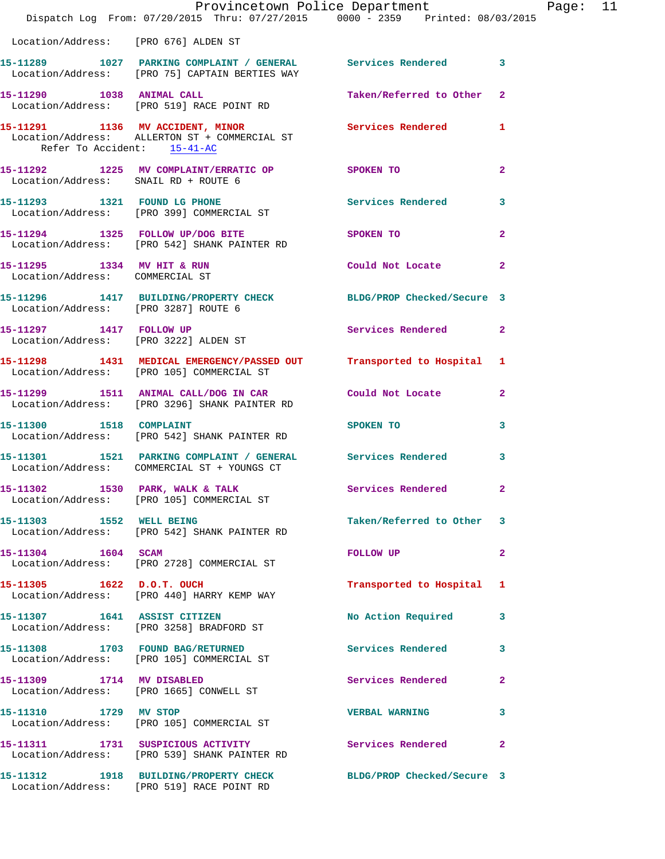|                                                                      | Provincetown Police Department<br>Dispatch Log From: 07/20/2015 Thru: 07/27/2015 0000 - 2359 Printed: 08/03/2015  |                            |                         |
|----------------------------------------------------------------------|-------------------------------------------------------------------------------------------------------------------|----------------------------|-------------------------|
| Location/Address: [PRO 676] ALDEN ST                                 |                                                                                                                   |                            |                         |
|                                                                      |                                                                                                                   |                            |                         |
|                                                                      | 15-11289 1027 PARKING COMPLAINT / GENERAL Services Rendered<br>Location/Address: [PRO 75] CAPTAIN BERTIES WAY     |                            | $\overline{\mathbf{3}}$ |
|                                                                      | 15-11290 1038 ANIMAL CALL<br>Location/Address: [PRO 519] RACE POINT RD                                            | Taken/Referred to Other    | $\mathbf{2}$            |
| Refer To Accident: 15-41-AC                                          | 15-11291 1136 MV ACCIDENT, MINOR<br>Location/Address: ALLERTON ST + COMMERCIAL ST                                 | Services Rendered          | 1                       |
|                                                                      | 15-11292 1225 MV COMPLAINT/ERRATIC OP SPOKEN TO<br>Location/Address: SNAIL RD + ROUTE 6                           |                            | $\mathbf{2}$            |
|                                                                      | 15-11293 1321 FOUND LG PHONE<br>Location/Address: [PRO 399] COMMERCIAL ST                                         | Services Rendered          | 3                       |
|                                                                      | 15-11294 1325 FOLLOW UP/DOG BITE<br>Location/Address: [PRO 542] SHANK PAINTER RD                                  | <b>SPOKEN TO</b>           | $\overline{a}$          |
| 15-11295 1334 MV HIT & RUN<br>Location/Address: COMMERCIAL ST        |                                                                                                                   | Could Not Locate           | $\mathbf{2}$            |
| Location/Address: [PRO 3287] ROUTE 6                                 | 15-11296 1417 BUILDING/PROPERTY CHECK BLDG/PROP Checked/Secure 3                                                  |                            |                         |
| 15-11297 1417 FOLLOW UP                                              | Location/Address: [PRO 3222] ALDEN ST                                                                             | Services Rendered          | $\mathbf{2}$            |
|                                                                      | 15-11298 1431 MEDICAL EMERGENCY/PASSED OUT Transported to Hospital 1<br>Location/Address: [PRO 105] COMMERCIAL ST |                            |                         |
|                                                                      | 15-11299 1511 ANIMAL CALL/DOG IN CAR Could Not Locate<br>Location/Address: [PRO 3296] SHANK PAINTER RD            |                            | 2                       |
| 15-11300 1518 COMPLAINT                                              | Location/Address: [PRO 542] SHANK PAINTER RD                                                                      | SPOKEN TO                  | 3                       |
|                                                                      | 15-11301 1521 PARKING COMPLAINT / GENERAL Services Rendered<br>Location/Address: COMMERCIAL ST + YOUNGS CT        |                            | 3                       |
|                                                                      | 15-11302 1530 PARK, WALK & TALK<br>Location/Address: [PRO 105] COMMERCIAL ST                                      | Services Rendered          |                         |
|                                                                      | 15-11303 1552 WELL BEING<br>Location/Address: [PRO 542] SHANK PAINTER RD                                          | Taken/Referred to Other    | 3                       |
| 15-11304 1604 SCAM                                                   | Location/Address: [PRO 2728] COMMERCIAL ST                                                                        | <b>FOLLOW UP</b>           | 2                       |
| 15-11305 1622 D.O.T. OUCH                                            | Location/Address: [PRO 440] HARRY KEMP WAY                                                                        | Transported to Hospital    | 1                       |
| 15-11307 1641 ASSIST CITIZEN                                         | Location/Address: [PRO 3258] BRADFORD ST                                                                          | No Action Required         | 3                       |
|                                                                      | 15-11308 1703 FOUND BAG/RETURNED<br>Location/Address: [PRO 105] COMMERCIAL ST                                     | Services Rendered          | 3                       |
| 15-11309 1714 MV DISABLED<br>Location/Address: [PRO 1665] CONWELL ST |                                                                                                                   | Services Rendered          | $\mathbf{2}$            |
| 15-11310 1729 MV STOP                                                | Location/Address: [PRO 105] COMMERCIAL ST                                                                         | <b>VERBAL WARNING</b>      | 3                       |
|                                                                      | 15-11311 1731 SUSPICIOUS ACTIVITY<br>Location/Address: [PRO 539] SHANK PAINTER RD                                 | Services Rendered          | $\mathbf{2}$            |
|                                                                      | 15-11312 1918 BUILDING/PROPERTY CHECK<br>Location/Address: [PRO 519] RACE POINT RD                                | BLDG/PROP Checked/Secure 3 |                         |

Page: 11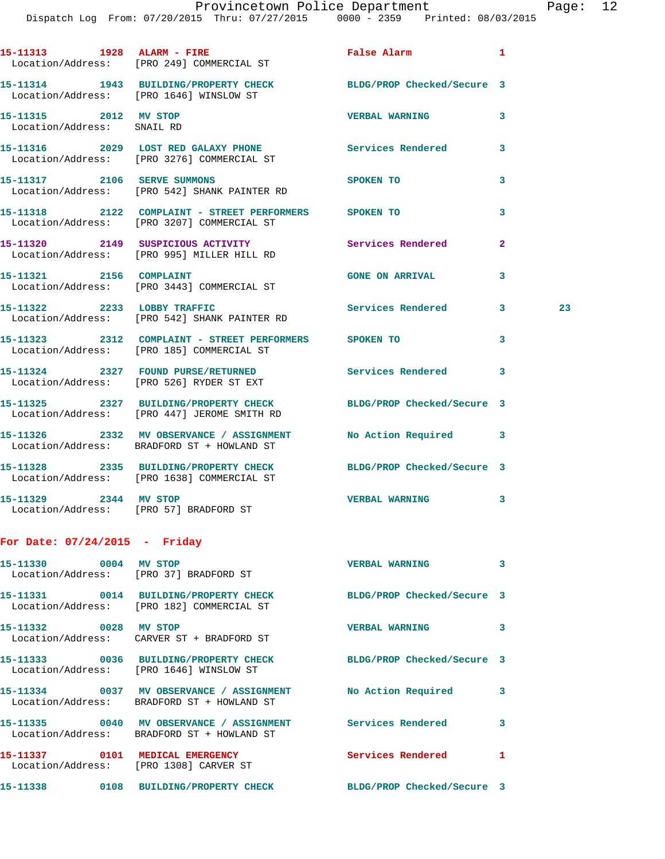|                                                                 | 15-11313 1928 ALARM - FIRE<br>Location/Address: [PRO 249] COMMERCIAL ST                                         | False Alarm 1              |              |    |
|-----------------------------------------------------------------|-----------------------------------------------------------------------------------------------------------------|----------------------------|--------------|----|
|                                                                 | 15-11314 1943 BUILDING/PROPERTY CHECK BLDG/PROP Checked/Secure 3<br>Location/Address: [PRO 1646] WINSLOW ST     |                            |              |    |
| 15-11315 2012 MV STOP<br>Location/Address: SNAIL RD             |                                                                                                                 | <b>VERBAL WARNING</b>      | 3            |    |
|                                                                 | 15-11316 2029 LOST RED GALAXY PHONE Services Rendered<br>Location/Address: [PRO 3276] COMMERCIAL ST             |                            | 3            |    |
|                                                                 | 15-11317 2106 SERVE SUMMONS<br>Location/Address: [PRO 542] SHANK PAINTER RD                                     | SPOKEN TO                  | 3            |    |
|                                                                 | 15-11318 2122 COMPLAINT - STREET PERFORMERS SPOKEN TO<br>Location/Address: [PRO 3207] COMMERCIAL ST             |                            | 3            |    |
|                                                                 | 15-11320 2149 SUSPICIOUS ACTIVITY Services Rendered<br>Location/Address: [PRO 995] MILLER HILL RD               |                            | $\mathbf{2}$ |    |
|                                                                 | 15-11321 2156 COMPLAINT<br>Location/Address: [PRO 3443] COMMERCIAL ST                                           | <b>GONE ON ARRIVAL</b>     | 3            |    |
|                                                                 | 15-11322 2233 LOBBY TRAFFIC<br>Location/Address: [PRO 542] SHANK PAINTER RD                                     | Services Rendered 3        |              | 23 |
|                                                                 | 15-11323  2312  COMPLAINT - STREET PERFORMERS  SPOKEN TO<br>Location/Address: [PRO 185]  COMMERCIAL ST          |                            | 3            |    |
|                                                                 | 15-11324 2327 FOUND PURSE/RETURNED<br>Location/Address: [PRO 526] RYDER ST EXT                                  | Services Rendered 3        |              |    |
|                                                                 | 15-11325 2327 BUILDING/PROPERTY CHECK BLDG/PROP Checked/Secure 3<br>Location/Address: [PRO 447] JEROME SMITH RD |                            |              |    |
|                                                                 | 15-11326 2332 MV OBSERVANCE / ASSIGNMENT No Action Required 3<br>Location/Address: BRADFORD ST + HOWLAND ST     |                            |              |    |
|                                                                 | 15-11328 2335 BUILDING/PROPERTY CHECK BLDG/PROP Checked/Secure 3<br>Location/Address: [PRO 1638] COMMERCIAL ST  |                            |              |    |
| 15-11329 2344 MV STOP                                           | Location/Address: [PRO 57] BRADFORD ST                                                                          | <b>VERBAL WARNING</b>      | 3            |    |
| For Date: 07/24/2015 - Friday                                   |                                                                                                                 |                            |              |    |
| 15-11330 0004 MV STOP<br>Location/Address: [PRO 37] BRADFORD ST |                                                                                                                 | <b>VERBAL WARNING</b>      | 3            |    |
|                                                                 | 15-11331 0014 BUILDING/PROPERTY CHECK<br>Location/Address: [PRO 182] COMMERCIAL ST                              | BLDG/PROP Checked/Secure 3 |              |    |
|                                                                 |                                                                                                                 | <b>VERBAL WARNING</b>      | 3            |    |

 Location/Address: CARVER ST + BRADFORD ST **15-11333 0036 BUILDING/PROPERTY CHECK BLDG/PROP Checked/Secure 3**  Location/Address: [PRO 1646] WINSLOW ST **15-11334 0037 MV OBSERVANCE / ASSIGNMENT No Action Required 3**  Location/Address: BRADFORD ST + HOWLAND ST **15-11335 0040 MV OBSERVANCE / ASSIGNMENT Services Rendered 3**  Location/Address: BRADFORD ST + HOWLAND ST **15-11337 0101 MEDICAL EMERGENCY Services Rendered 1**  Location/Address: [PRO 1308] CARVER ST **15-11338 0108 BUILDING/PROPERTY CHECK BLDG/PROP Checked/Secure 3**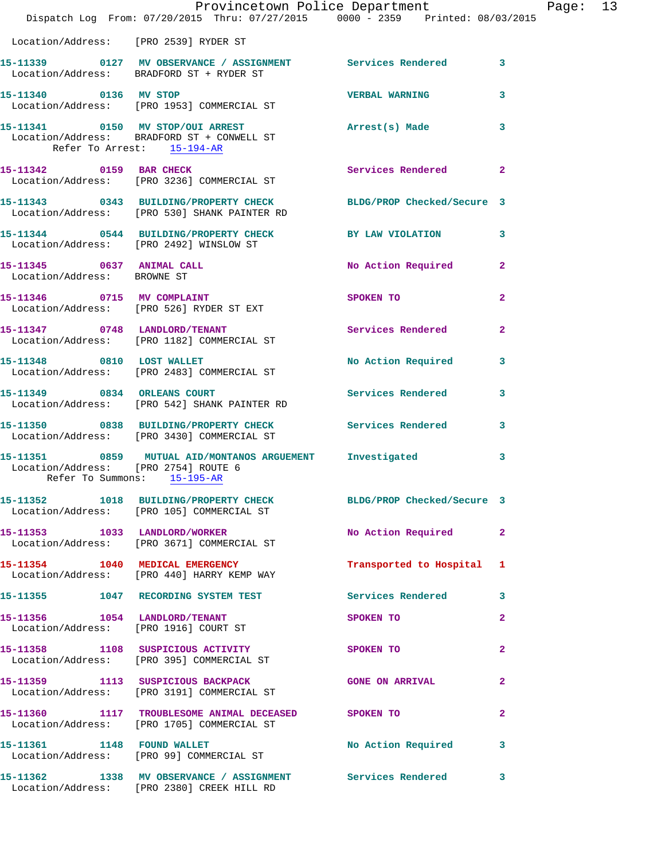|                                      | Provincetown Police Department The Rage: 13<br>Dispatch Log From: 07/20/2015 Thru: 07/27/2015 0000 - 2359 Printed: 08/03/2015 |                           |                |  |
|--------------------------------------|-------------------------------------------------------------------------------------------------------------------------------|---------------------------|----------------|--|
|                                      | Location/Address: [PRO 2539] RYDER ST                                                                                         |                           |                |  |
|                                      | 15-11339 0127 MV OBSERVANCE / ASSIGNMENT Services Rendered 3<br>Location/Address: BRADFORD ST + RYDER ST                      |                           |                |  |
| 15-11340 0136 MV STOP                | Location/Address: [PRO 1953] COMMERCIAL ST                                                                                    | VERBAL WARNING            | 3              |  |
| Refer To Arrest: 15-194-AR           | 15-11341 0150 MV STOP/OUI ARREST Arrest(s) Made<br>Location/Address: BRADFORD ST + CONWELL ST                                 |                           | 3              |  |
|                                      | 15-11342 0159 BAR CHECK<br>Location/Address: [PRO 3236] COMMERCIAL ST                                                         | <b>Services Rendered</b>  | $\mathbf{2}$   |  |
|                                      | 15-11343 0343 BUILDING/PROPERTY CHECK BLDG/PROP Checked/Secure 3<br>Location/Address: [PRO 530] SHANK PAINTER RD              |                           |                |  |
|                                      | 15-11344 0544 BUILDING/PROPERTY CHECK BY LAW VIOLATION<br>Location/Address: [PRO 2492] WINSLOW ST                             |                           | $\mathbf{3}$   |  |
| Location/Address: BROWNE ST          | 15-11345 0637 ANIMAL CALL                                                                                                     | No Action Required 2      |                |  |
|                                      | 15-11346 0715 MV COMPLAINT<br>Location/Address: [PRO 526] RYDER ST EXT                                                        | SPOKEN TO                 | $\mathbf{2}$   |  |
|                                      | 15-11347 0748 LANDLORD/TENANT Services Rendered<br>Location/Address: [PRO 1182] COMMERCIAL ST                                 |                           | $\mathbf{2}$   |  |
|                                      | 15-11348 0810 LOST WALLET<br>Location/Address: [PRO 2483] COMMERCIAL ST                                                       | No Action Required 3      |                |  |
|                                      | 15-11349 0834 ORLEANS COURT<br>Location/Address: [PRO 542] SHANK PAINTER RD                                                   | Services Rendered         | 3              |  |
|                                      | 15-11350 0838 BUILDING/PROPERTY CHECK Services Rendered 3<br>Location/Address: [PRO 3430] COMMERCIAL ST                       |                           |                |  |
| Location/Address: [PRO 2754] ROUTE 6 | 15-11351 0859 MUTUAL AID/MONTANOS ARGUEMENT Investigated<br>Refer To Summons: 15-195-AR                                       |                           | 3              |  |
|                                      | 15-11352 1018 BUILDING/PROPERTY CHECK BLDG/PROP Checked/Secure 3<br>Location/Address: [PRO 105] COMMERCIAL ST                 |                           |                |  |
|                                      | 15-11353 1033 LANDLORD/WORKER<br>Location/Address: [PRO 3671] COMMERCIAL ST                                                   | No Action Required 2      |                |  |
|                                      | 15-11354 1040 MEDICAL EMERGENCY<br>Location/Address: [PRO 440] HARRY KEMP WAY                                                 | Transported to Hospital 1 |                |  |
|                                      | 15-11355 1047 RECORDING SYSTEM TEST                                                                                           | <b>Services Rendered</b>  | 3              |  |
|                                      | 15-11356 1054 LANDLORD/TENANT<br>Location/Address: [PRO 1916] COURT ST                                                        | SPOKEN TO                 | $\overline{a}$ |  |
|                                      | 15-11358 1108 SUSPICIOUS ACTIVITY<br>Location/Address: [PRO 395] COMMERCIAL ST                                                | SPOKEN TO                 | $\mathbf{2}$   |  |
|                                      | 15-11359 1113 SUSPICIOUS BACKPACK<br>Location/Address: [PRO 3191] COMMERCIAL ST                                               | <b>GONE ON ARRIVAL</b>    | 2              |  |
|                                      | 15-11360 1117 TROUBLESOME ANIMAL DECEASED SPOKEN TO<br>Location/Address: [PRO 1705] COMMERCIAL ST                             |                           | $\mathbf{2}$   |  |
|                                      | 15-11361 1148 FOUND WALLET<br>Location/Address: [PRO 99] COMMERCIAL ST                                                        | No Action Required        | 3              |  |
|                                      | 15-11362 1338 MV OBSERVANCE / ASSIGNMENT Services Rendered<br>Location/Address: [PRO 2380] CREEK HILL RD                      |                           | 3              |  |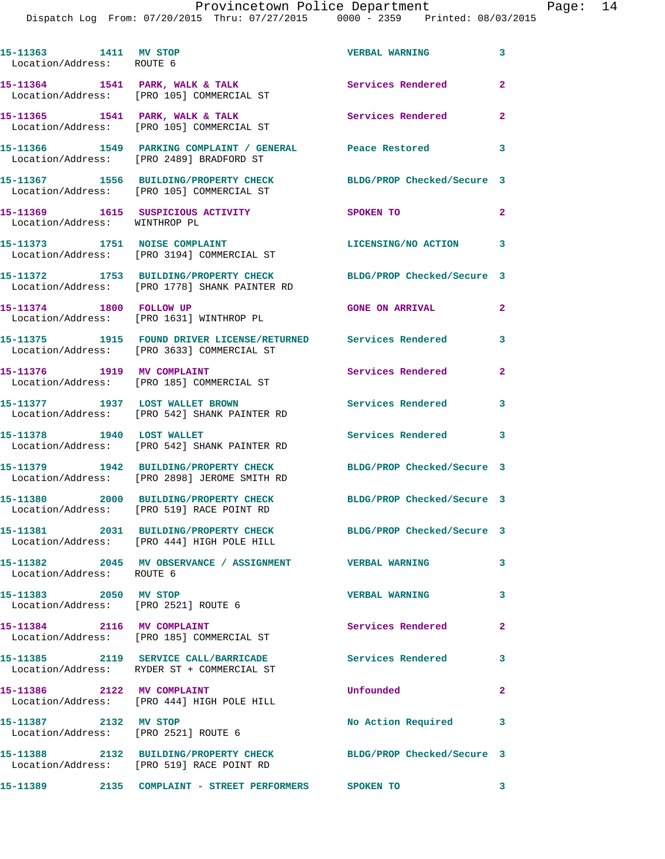| 15-11363 1411 MV STOP<br>Location/Address: ROUTE 6 |                                                                                                                                 | <b>VERBAL WARNING</b>      | $\mathbf{3}$            |
|----------------------------------------------------|---------------------------------------------------------------------------------------------------------------------------------|----------------------------|-------------------------|
|                                                    | 15-11364 1541 PARK, WALK & TALK<br>Location/Address: [PRO 105] COMMERCIAL ST                                                    | Services Rendered          | $\overline{2}$          |
|                                                    | 15-11365 1541 PARK, WALK & TALK<br>Location/Address: [PRO 105] COMMERCIAL ST                                                    | Services Rendered          | $\mathbf{2}$            |
|                                                    | 15-11366         1549   PARKING COMPLAINT / GENERAL              Peace Restored<br>Location/Address:     [PRO 2489] BRADFORD ST |                            | 3                       |
|                                                    | 15-11367 1556 BUILDING/PROPERTY CHECK BLDG/PROP Checked/Secure 3<br>Location/Address: [PRO 105] COMMERCIAL ST                   |                            |                         |
| Location/Address: WINTHROP PL                      | 15-11369 1615 SUSPICIOUS ACTIVITY                                                                                               | SPOKEN TO                  | $\mathbf{2}$            |
|                                                    | 15-11373 1751 NOISE COMPLAINT<br>Location/Address: [PRO 3194] COMMERCIAL ST                                                     | LICENSING/NO ACTION 3      |                         |
|                                                    | 15-11372 1753 BUILDING/PROPERTY CHECK<br>Location/Address: [PRO 1778] SHANK PAINTER RD                                          | BLDG/PROP Checked/Secure 3 |                         |
| 15-11374 1800 FOLLOW UP                            | Location/Address: [PRO 1631] WINTHROP PL                                                                                        | <b>GONE ON ARRIVAL</b>     | $\overline{2}$          |
|                                                    | 15-11375 1915 FOUND DRIVER LICENSE/RETURNED Services Rendered 3<br>Location/Address: [PRO 3633] COMMERCIAL ST                   |                            |                         |
|                                                    | 15-11376    1919    MV COMPLAINT<br>Location/Address: [PRO 185] COMMERCIAL ST                                                   | Services Rendered          | $\overline{2}$          |
|                                                    | 15-11377 1937 LOST WALLET BROWN<br>Location/Address: [PRO 542] SHANK PAINTER RD                                                 | Services Rendered 3        |                         |
| 15-11378 1940 LOST WALLET                          | Location/Address: [PRO 542] SHANK PAINTER RD                                                                                    | Services Rendered 3        |                         |
|                                                    | 15-11379 1942 BUILDING/PROPERTY CHECK<br>Location/Address: [PRO 2898] JEROME SMITH RD                                           | BLDG/PROP Checked/Secure 3 |                         |
|                                                    | 15-11380 2000 BUILDING/PROPERTY CHECK<br>Location/Address: [PRO 519] RACE POINT RD                                              | BLDG/PROP Checked/Secure 3 |                         |
|                                                    | 15-11381 2031 BUILDING/PROPERTY CHECK<br>Location/Address: [PRO 444] HIGH POLE HILL                                             | BLDG/PROP Checked/Secure 3 |                         |
| Location/Address: ROUTE 6                          | 15-11382 2045 MV OBSERVANCE / ASSIGNMENT WERBAL WARNING                                                                         |                            | 3                       |
| 15-11383 2050 MV STOP                              | Location/Address: [PRO 2521] ROUTE 6                                                                                            | <b>VERBAL WARNING</b>      | 3                       |
|                                                    | 15-11384 2116 MV COMPLAINT<br>Location/Address: [PRO 185] COMMERCIAL ST                                                         | Services Rendered          | $\overline{a}$          |
|                                                    | 15-11385 2119 SERVICE CALL/BARRICADE<br>Location/Address: RYDER ST + COMMERCIAL ST                                              | Services Rendered          | $\overline{\mathbf{3}}$ |
|                                                    | 15-11386 2122 MV COMPLAINT<br>Location/Address: [PRO 444] HIGH POLE HILL                                                        | Unfounded                  | $\mathbf{2}$            |
| 15-11387 2132 MV STOP                              | Location/Address: [PRO 2521] ROUTE 6                                                                                            | No Action Required         | 3                       |
|                                                    | 15-11388 2132 BUILDING/PROPERTY CHECK BLDG/PROP Checked/Secure 3<br>Location/Address: [PRO 519] RACE POINT RD                   |                            |                         |
|                                                    | 15-11389 2135 COMPLAINT - STREET PERFORMERS SPOKEN TO                                                                           | $\sim$ 3                   |                         |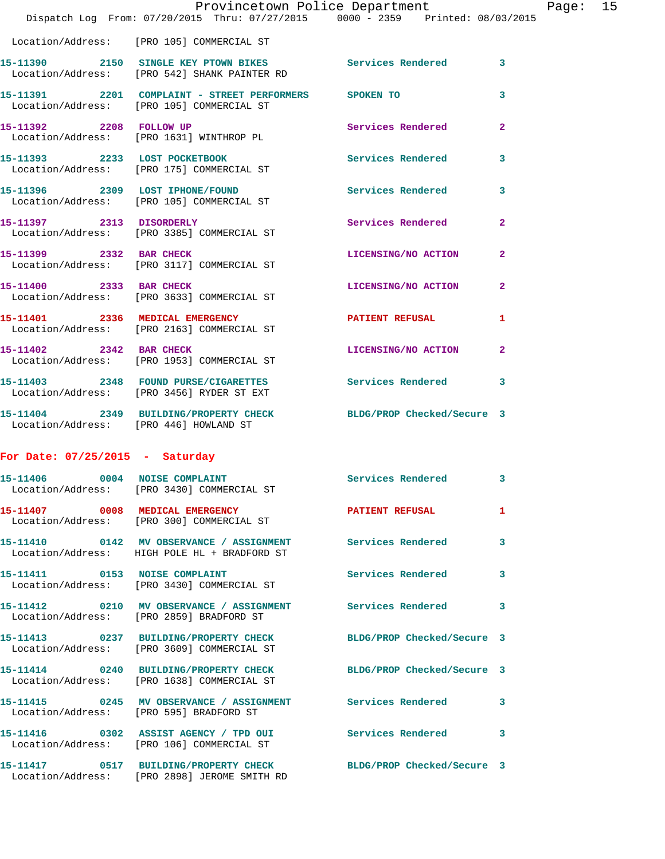|                                         | Provincetown Police Department<br>Dispatch Log From: 07/20/2015 Thru: 07/27/2015 0000 - 2359 Printed: 08/03/2015 |                            |                |
|-----------------------------------------|------------------------------------------------------------------------------------------------------------------|----------------------------|----------------|
|                                         | Location/Address: [PRO 105] COMMERCIAL ST                                                                        |                            |                |
|                                         | 15-11390 2150 SINGLE KEY PTOWN BIKES Services Rendered<br>Location/Address: [PRO 542] SHANK PAINTER RD           |                            | 3              |
|                                         | 15-11391 2201 COMPLAINT - STREET PERFORMERS SPOKEN TO<br>Location/Address: [PRO 105] COMMERCIAL ST               |                            | 3              |
| 15-11392 2208 FOLLOW UP                 | Location/Address: [PRO 1631] WINTHROP PL                                                                         | <b>Services Rendered</b>   | $\mathbf{2}$   |
|                                         | 15-11393 2233 LOST POCKETBOOK<br>Location/Address: [PRO 175] COMMERCIAL ST                                       | <b>Services Rendered</b>   | 3              |
|                                         | 15-11396 2309 LOST IPHONE/FOUND<br>Location/Address: [PRO 105] COMMERCIAL ST                                     | Services Rendered          | 3              |
|                                         | 15-11397 2313 DISORDERLY<br>Location/Address: [PRO 3385] COMMERCIAL ST                                           | Services Rendered          | $\mathbf{2}$   |
| 15-11399 2332 BAR CHECK                 | Location/Address: [PRO 3117] COMMERCIAL ST                                                                       | LICENSING/NO ACTION        | $\overline{2}$ |
|                                         | 15-11400 2333 BAR CHECK<br>Location/Address: [PRO 3633] COMMERCIAL ST                                            | LICENSING/NO ACTION        | $\mathbf{2}$   |
|                                         | 15-11401 2336 MEDICAL EMERGENCY<br>Location/Address: [PRO 2163] COMMERCIAL ST                                    | PATIENT REFUSAL            | 1              |
|                                         | 15-11402 2342 BAR CHECK<br>Location/Address: [PRO 1953] COMMERCIAL ST                                            | LICENSING/NO ACTION        | $\mathbf{2}$   |
|                                         | 15-11403 2348 FOUND PURSE/CIGARETTES Services Rendered<br>Location/Address: [PRO 3456] RYDER ST EXT              |                            | 3              |
| Location/Address: [PRO 446] HOWLAND ST  | 15-11404 2349 BUILDING/PROPERTY CHECK BLDG/PROP Checked/Secure 3                                                 |                            |                |
| For Date: $07/25/2015$ - Saturday       |                                                                                                                  |                            |                |
| 15-11406 0004 NOISE COMPLAINT           | Location/Address: [PRO 3430] COMMERCIAL ST                                                                       | Services Rendered          | 3              |
| 15-11407 0008 MEDICAL EMERGENCY         | Location/Address: [PRO 300] COMMERCIAL ST                                                                        | <b>PATIENT REFUSAL</b>     | 1              |
|                                         | 15-11410 0142 MV OBSERVANCE / ASSIGNMENT Services Rendered<br>Location/Address: HIGH POLE HL + BRADFORD ST       |                            | 3              |
| 15-11411 0153 NOISE COMPLAINT           | Location/Address: [PRO 3430] COMMERCIAL ST                                                                       | Services Rendered          | 3              |
|                                         | 15-11412 0210 MV OBSERVANCE / ASSIGNMENT Services Rendered<br>Location/Address: [PRO 2859] BRADFORD ST           |                            | 3              |
|                                         | 15-11413 0237 BUILDING/PROPERTY CHECK<br>Location/Address: [PRO 3609] COMMERCIAL ST                              | BLDG/PROP Checked/Secure 3 |                |
|                                         | 15-11414 0240 BUILDING/PROPERTY CHECK BLDG/PROP Checked/Secure 3<br>Location/Address: [PRO 1638] COMMERCIAL ST   |                            |                |
| Location/Address: [PRO 595] BRADFORD ST | 15-11415 0245 MV OBSERVANCE / ASSIGNMENT Services Rendered                                                       |                            | 3              |
|                                         | 15-11416  0302 ASSIST AGENCY / TPD OUI  Services Rendered<br>Location/Address: [PRO 106] COMMERCIAL ST           |                            | 3              |
|                                         | 15-11417 0517 BUILDING/PROPERTY CHECK                                                                            | BLDG/PROP Checked/Secure 3 |                |

Location/Address: [PRO 2898] JEROME SMITH RD

Page:  $15$ <br>015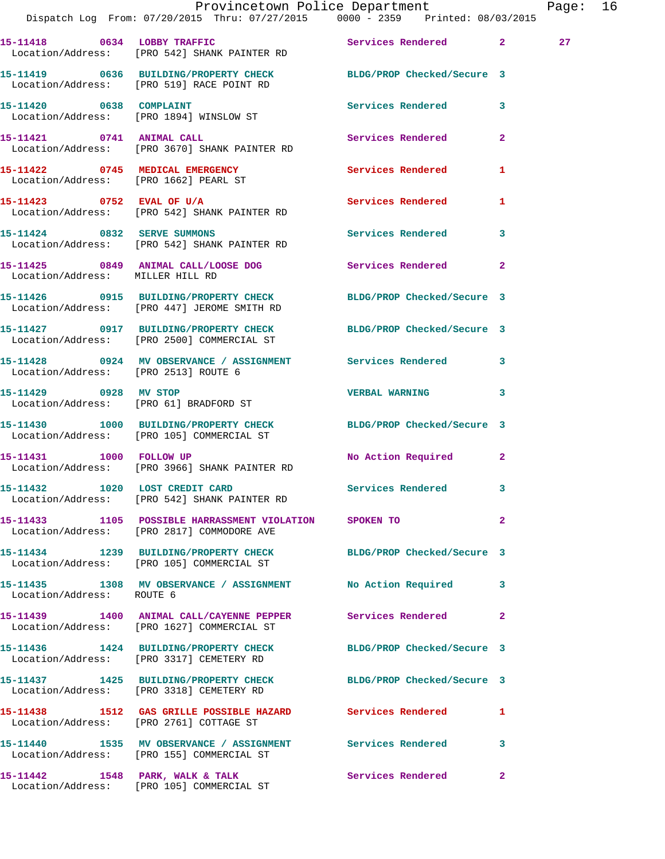|                                      | Provincetown Police Department<br>Dispatch Log From: 07/20/2015 Thru: 07/27/2015 0000 - 2359 Printed: 08/03/2015 |                            |                | Page: 16 |  |
|--------------------------------------|------------------------------------------------------------------------------------------------------------------|----------------------------|----------------|----------|--|
|                                      | 15-11418 0634 LOBBY TRAFFIC Services Rendered 2<br>Location/Address: [PRO 542] SHANK PAINTER RD                  |                            |                | 27       |  |
|                                      | 15-11419 0636 BUILDING/PROPERTY CHECK BLDG/PROP Checked/Secure 3<br>Location/Address: [PRO 519] RACE POINT RD    |                            |                |          |  |
|                                      | 15-11420 0638 COMPLAINT<br>Location/Address: [PRO 1894] WINSLOW ST                                               | Services Rendered 3        |                |          |  |
|                                      | 15-11421 0741 ANIMAL CALL<br>Location/Address: [PRO 3670] SHANK PAINTER RD                                       | Services Rendered          | $\mathbf{2}$   |          |  |
|                                      |                                                                                                                  | Services Rendered 1        |                |          |  |
|                                      | 15-11423 0752 EVAL OF U/A<br>Location/Address: [PRO 542] SHANK PAINTER RD                                        | Services Rendered          | 1              |          |  |
|                                      | 15-11424 0832 SERVE SUMMONS<br>Location/Address: [PRO 542] SHANK PAINTER RD                                      | Services Rendered 3        |                |          |  |
| Location/Address: MILLER HILL RD     | 15-11425 0849 ANIMAL CALL/LOOSE DOG Services Rendered                                                            |                            | $\mathbf{2}$   |          |  |
|                                      | 15-11426 0915 BUILDING/PROPERTY CHECK BLDG/PROP Checked/Secure 3<br>Location/Address: [PRO 447] JEROME SMITH RD  |                            |                |          |  |
|                                      | 15-11427 0917 BUILDING/PROPERTY CHECK BLDG/PROP Checked/Secure 3<br>Location/Address: [PRO 2500] COMMERCIAL ST   |                            |                |          |  |
| Location/Address: [PRO 2513] ROUTE 6 | 15-11428 0924 MV OBSERVANCE / ASSIGNMENT Services Rendered 3                                                     |                            |                |          |  |
|                                      | 15-11429 0928 MV STOP<br>Location/Address: [PRO 61] BRADFORD ST                                                  | <b>VERBAL WARNING</b>      | 3              |          |  |
|                                      | 15-11430 1000 BUILDING/PROPERTY CHECK BLDG/PROP Checked/Secure 3<br>Location/Address: [PRO 105] COMMERCIAL ST    |                            |                |          |  |
|                                      | 15-11431 1000 FOLLOW UP<br>Location/Address: [PRO 3966] SHANK PAINTER RD                                         | No Action Required 2       |                |          |  |
|                                      | 15-11432 1020 LOST CREDIT CARD<br>Location/Address: [PRO 542] SHANK PAINTER RD                                   | <b>Services Rendered</b>   |                |          |  |
|                                      | 15-11433 1105 POSSIBLE HARRASSMENT VIOLATION SPOKEN TO<br>Location/Address: [PRO 2817] COMMODORE AVE             |                            | $\overline{2}$ |          |  |
|                                      | 15-11434 1239 BUILDING/PROPERTY CHECK BLDG/PROP Checked/Secure 3<br>Location/Address: [PRO 105] COMMERCIAL ST    |                            |                |          |  |
| Location/Address: ROUTE 6            | 15-11435 1308 MV OBSERVANCE / ASSIGNMENT No Action Required                                                      |                            | 3              |          |  |
|                                      | 15-11439 1400 ANIMAL CALL/CAYENNE PEPPER Services Rendered<br>Location/Address: [PRO 1627] COMMERCIAL ST         |                            | $\overline{2}$ |          |  |
|                                      | 15-11436 1424 BUILDING/PROPERTY CHECK<br>Location/Address: [PRO 3317] CEMETERY RD                                | BLDG/PROP Checked/Secure 3 |                |          |  |
|                                      | 15-11437 1425 BUILDING/PROPERTY CHECK BLDG/PROP Checked/Secure 3<br>Location/Address: [PRO 3318] CEMETERY RD     |                            |                |          |  |
|                                      | 15-11438 1512 GAS GRILLE POSSIBLE HAZARD Services Rendered<br>Location/Address: [PRO 2761] COTTAGE ST            |                            | 1              |          |  |
|                                      | 15-11440 1535 MV OBSERVANCE / ASSIGNMENT Services Rendered<br>Location/Address: [PRO 155] COMMERCIAL ST          |                            | $\mathbf{3}$   |          |  |
|                                      | 15-11442 1548 PARK, WALK & TALK 1988 Services Rendered<br>Location/Address: [PRO 105] COMMERCIAL ST              |                            | $\mathbf{2}$   |          |  |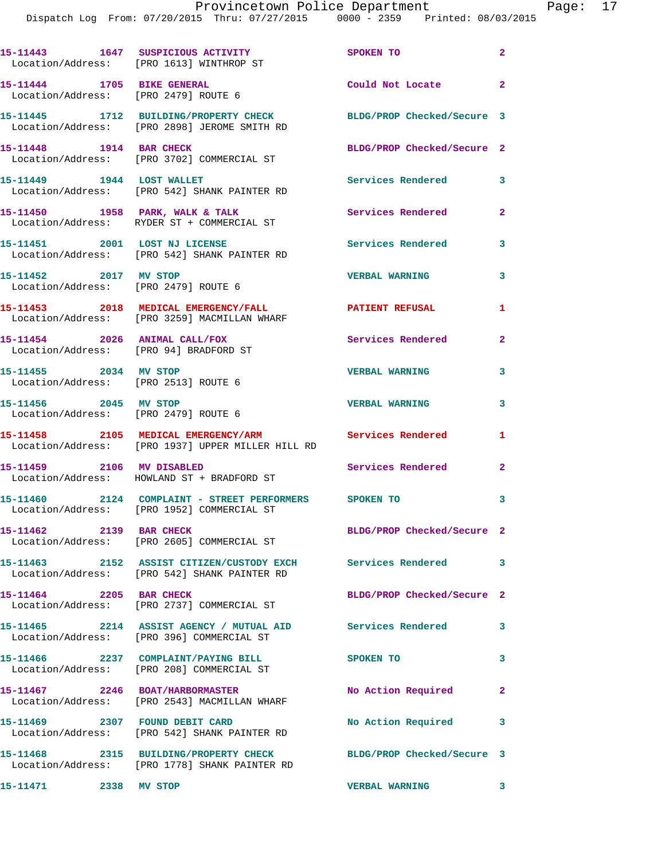|                                                                         | 15-11443  1647 SUSPICIOUS ACTIVITY<br>Location/Address: [PRO 1613] WINTHROP ST                              | SPOKEN TO                  | $\overline{\mathbf{2}}$ |
|-------------------------------------------------------------------------|-------------------------------------------------------------------------------------------------------------|----------------------------|-------------------------|
| 15-11444 1705 BIKE GENERAL<br>Location/Address: [PRO 2479] ROUTE 6      |                                                                                                             | Could Not Locate 2         |                         |
|                                                                         | 15-11445 1712 BUILDING/PROPERTY CHECK<br>Location/Address: [PRO 2898] JEROME SMITH RD                       | BLDG/PROP Checked/Secure 3 |                         |
| 15-11448    1914 BAR CHECK                                              | Location/Address: [PRO 3702] COMMERCIAL ST                                                                  | BLDG/PROP Checked/Secure 2 |                         |
| 15-11449    1944    LOST WALLET                                         | Location/Address: [PRO 542] SHANK PAINTER RD                                                                | <b>Services Rendered</b>   | $\overline{\mathbf{3}}$ |
|                                                                         | 15-11450 <b>1958</b> PARK, WALK & TALK<br>Location/Address: RYDER ST + COMMERCIAL ST                        | Services Rendered          | $\overline{2}$          |
|                                                                         | 15-11451 2001 LOST NJ LICENSE<br>Location/Address: [PRO 542] SHANK PAINTER RD                               | <b>Services Rendered</b>   | 3                       |
| 15-11452 2017 MV STOP                                                   | Location/Address: [PRO 2479] ROUTE 6                                                                        | <b>VERBAL WARNING</b>      | 3                       |
|                                                                         | 15-11453 2018 MEDICAL EMERGENCY/FALL 2018 PATIENT REFUSAL<br>Location/Address: [PRO 3259] MACMILLAN WHARF   |                            | 1                       |
| 15-11454 2026 ANIMAL CALL/FOX<br>Location/Address: [PRO 94] BRADFORD ST |                                                                                                             | <b>Services Rendered</b>   | $\mathbf{2}$            |
| 15-11455 2034 MV STOP<br>Location/Address: [PRO 2513] ROUTE 6           |                                                                                                             | <b>VERBAL WARNING</b>      | 3                       |
| 15-11456 2045 MV STOP<br>Location/Address: [PRO 2479] ROUTE 6           |                                                                                                             | <b>VERBAL WARNING</b>      | 3                       |
|                                                                         | 15-11458 2105 MEDICAL EMERGENCY/ARM<br>Location/Address: [PRO 1937] UPPER MILLER HILL RD                    | <b>Services Rendered</b>   | 1                       |
| 15-11459 2106 MV DISABLED                                               | Location/Address: HOWLAND ST + BRADFORD ST                                                                  | <b>Services Rendered</b>   | $\mathbf{2}$            |
|                                                                         | 15-11460  2124  COMPLAINT - STREET PERFORMERS  SPOKEN TO<br>Location/Address: [PRO 1952] COMMERCIAL ST      |                            | 3                       |
| 15-11462 2139 BAR CHECK                                                 | Location/Address: [PRO 2605] COMMERCIAL ST                                                                  | BLDG/PROP Checked/Secure 2 |                         |
|                                                                         | 15-11463 2152 ASSIST CITIZEN/CUSTODY EXCH Services Rendered<br>Location/Address: [PRO 542] SHANK PAINTER RD |                            | 3                       |
| 15-11464 2205 BAR CHECK                                                 | Location/Address: [PRO 2737] COMMERCIAL ST                                                                  | BLDG/PROP Checked/Secure 2 |                         |
|                                                                         | 15-11465 2214 ASSIST AGENCY / MUTUAL AID Services Rendered<br>Location/Address: [PRO 396] COMMERCIAL ST     |                            | 3                       |
|                                                                         | 15-11466 2237 COMPLAINT/PAYING BILL<br>Location/Address: [PRO 208] COMMERCIAL ST                            | SPOKEN TO                  | 3                       |
|                                                                         | 15-11467 2246 BOAT/HARBORMASTER<br>Location/Address: [PRO 2543] MACMILLAN WHARF                             | No Action Required         | $\mathbf{2}$            |
| 15-11469 2307 FOUND DEBIT CARD                                          | Location/Address: [PRO 542] SHANK PAINTER RD                                                                | No Action Required         | 3                       |
|                                                                         | 15-11468 2315 BUILDING/PROPERTY CHECK<br>Location/Address: [PRO 1778] SHANK PAINTER RD                      | BLDG/PROP Checked/Secure 3 |                         |
| 15-11471 2338 MV STOP                                                   |                                                                                                             | <b>VERBAL WARNING</b>      |                         |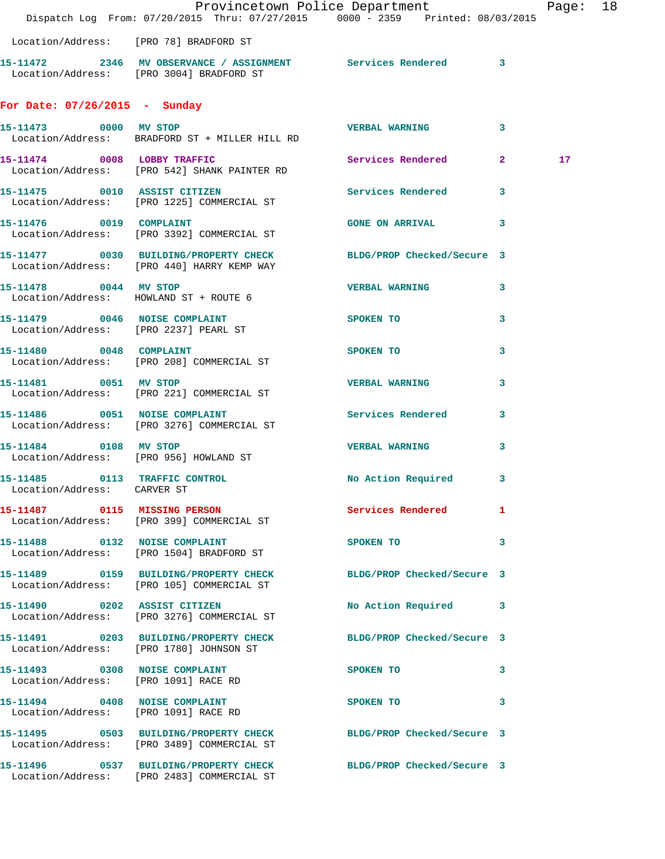|                                                                        | Dispatch Log From: 07/20/2015 Thru: 07/27/2015 0000 - 2359 Printed: 08/03/2015                                 | Provincetown Police Department                      |                            | Page: 18        |  |
|------------------------------------------------------------------------|----------------------------------------------------------------------------------------------------------------|-----------------------------------------------------|----------------------------|-----------------|--|
|                                                                        | Location/Address: [PRO 78] BRADFORD ST                                                                         |                                                     |                            |                 |  |
|                                                                        | 15-11472 2346 MV OBSERVANCE / ASSIGNMENT Services Rendered 3<br>Location/Address: [PRO 3004] BRADFORD ST       |                                                     |                            |                 |  |
| For Date: 07/26/2015 - Sunday                                          |                                                                                                                |                                                     |                            |                 |  |
| 15-11473 0000 MV STOP                                                  | Location/Address: BRADFORD ST + MILLER HILL RD                                                                 | <b>VERBAL WARNING</b>                               | $\mathbf{3}$               |                 |  |
|                                                                        | 15-11474 0008 LOBBY TRAFFIC<br>Location/Address: [PRO 542] SHANK PAINTER RD                                    | Services Rendered 2                                 |                            | 17 <sub>1</sub> |  |
| 15-11475 0010 ASSIST CITIZEN                                           | Location/Address: [PRO 1225] COMMERCIAL ST                                                                     | Services Rendered 3                                 |                            |                 |  |
|                                                                        | 15-11476 0019 COMPLAINT<br>Location/Address: [PRO 3392] COMMERCIAL ST                                          | GONE ON ARRIVAL 3                                   |                            |                 |  |
|                                                                        | 15-11477 0030 BUILDING/PROPERTY CHECK BLDG/PROP Checked/Secure 3<br>Location/Address: [PRO 440] HARRY KEMP WAY |                                                     |                            |                 |  |
|                                                                        | 15-11478 0044 MV STOP<br>Location/Address: HOWLAND ST + ROUTE 6                                                | <b>VERBAL WARNING</b>                               | 3                          |                 |  |
| 15-11479 0046 NOISE COMPLAINT<br>Location/Address: [PRO 2237] PEARL ST |                                                                                                                | SPOKEN TO                                           | 3                          |                 |  |
|                                                                        | 15-11480 0048 COMPLAINT<br>Location/Address: [PRO 208] COMMERCIAL ST                                           | SPOKEN TO                                           | 3                          |                 |  |
| 15-11481 0051 MV STOP                                                  | Location/Address: [PRO 221] COMMERCIAL ST                                                                      | <b>VERBAL WARNING</b>                               | 3                          |                 |  |
|                                                                        | 15-11486 0051 NOISE COMPLAINT<br>Location/Address: [PRO 3276] COMMERCIAL ST                                    | Services Rendered 3                                 |                            |                 |  |
| 15-11484 0108 MV STOP                                                  | Location/Address: [PRO 956] HOWLAND ST                                                                         | <b>VERBAL WARNING</b>                               | 3                          |                 |  |
| Location/Address: CARVER ST                                            | 15-11485 0113 TRAFFIC CONTROL                                                                                  | No Action Required 3                                |                            |                 |  |
|                                                                        | 15-11487 0115 MISSING PERSON<br>Location/Address: [PRO 399] COMMERCIAL ST                                      | Services Rendered 1                                 |                            |                 |  |
|                                                                        | 15-11488 0132 NOISE COMPLAINT<br>Location/Address: [PRO 1504] BRADFORD ST                                      | SPOKEN TO DESCRIPTION OF REAL PROPERTY.<br>$\sim$ 3 |                            |                 |  |
|                                                                        | 15-11489 0159 BUILDING/PROPERTY CHECK BLDG/PROP Checked/Secure 3<br>Location/Address: [PRO 105] COMMERCIAL ST  |                                                     |                            |                 |  |
|                                                                        | 15-11490 0202 ASSIST CITIZEN<br>Location/Address: [PRO 3276] COMMERCIAL ST                                     | No Action Required 3                                |                            |                 |  |
|                                                                        | 15-11491 0203 BUILDING/PROPERTY CHECK BLDG/PROP Checked/Secure 3<br>Location/Address: [PRO 1780] JOHNSON ST    |                                                     |                            |                 |  |
| 15-11493 0308 NOISE COMPLAINT                                          | Location/Address: [PRO 1091] RACE RD                                                                           | <b>SPOKEN TO</b>                                    | $\overline{\phantom{a}}$ 3 |                 |  |
| Location/Address: [PRO 1091] RACE RD                                   | 15-11494 0408 NOISE COMPLAINT                                                                                  | $\sim$ 3<br>SPOKEN TO                               |                            |                 |  |
|                                                                        | 15-11495 0503 BUILDING/PROPERTY CHECK BLDG/PROP Checked/Secure 3<br>Location/Address: [PRO 3489] COMMERCIAL ST |                                                     |                            |                 |  |
|                                                                        | 15-11496 0537 BUILDING/PROPERTY CHECK BLDG/PROP Checked/Secure 3<br>Location/Address: [PRO 2483] COMMERCIAL ST |                                                     |                            |                 |  |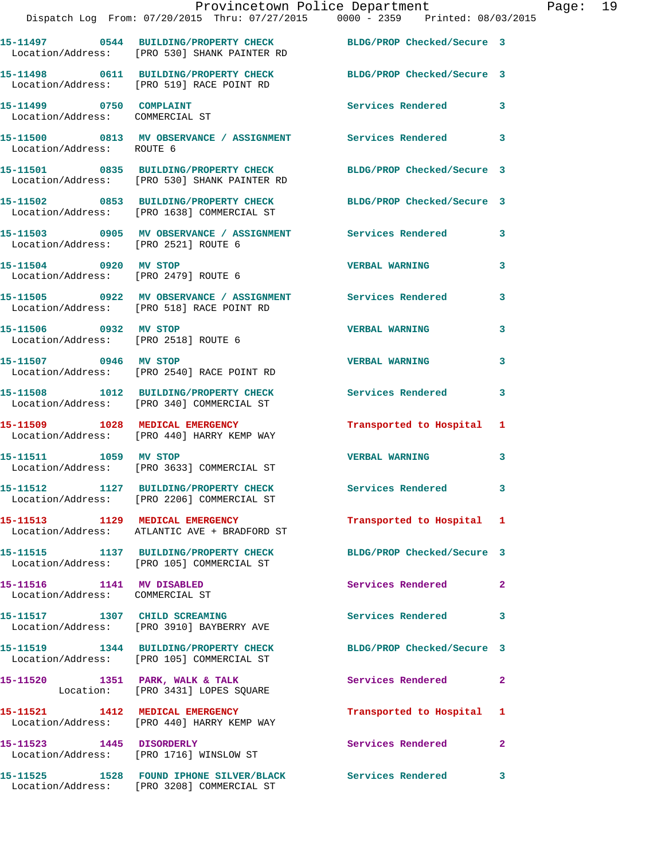|                                                               | Provincetown Police Department<br>Dispatch Log From: 07/20/2015 Thru: 07/27/2015 0000 - 2359 Printed: 08/03/2015 |                            |                |
|---------------------------------------------------------------|------------------------------------------------------------------------------------------------------------------|----------------------------|----------------|
|                                                               | 15-11497 0544 BUILDING/PROPERTY CHECK BLDG/PROP Checked/Secure 3<br>Location/Address: [PRO 530] SHANK PAINTER RD |                            |                |
|                                                               | 15-11498 0611 BUILDING/PROPERTY CHECK BLDG/PROP Checked/Secure 3<br>Location/Address: [PRO 519] RACE POINT RD    |                            |                |
| 15-11499 0750 COMPLAINT<br>Location/Address: COMMERCIAL ST    |                                                                                                                  | <b>Services Rendered</b>   | 3              |
| Location/Address: ROUTE 6                                     | 15-11500 0813 MV OBSERVANCE / ASSIGNMENT Services Rendered                                                       |                            | 3              |
|                                                               | 15-11501 0835 BUILDING/PROPERTY CHECK<br>Location/Address: [PRO 530] SHANK PAINTER RD                            | BLDG/PROP Checked/Secure 3 |                |
|                                                               | 15-11502 0853 BUILDING/PROPERTY CHECK BLDG/PROP Checked/Secure 3<br>Location/Address: [PRO 1638] COMMERCIAL ST   |                            |                |
|                                                               | 15-11503     0905   MV OBSERVANCE / ASSIGNMENT      Services Rendered<br>Location/Address:   [PRO 2521]ROUTE 6   |                            | 3              |
| 15-11504 0920 MV STOP<br>Location/Address: [PRO 2479] ROUTE 6 |                                                                                                                  | <b>VERBAL WARNING</b>      | 3              |
|                                                               | 15-11505 0922 MV OBSERVANCE / ASSIGNMENT Services Rendered<br>Location/Address: [PRO 518] RACE POINT RD          |                            | 3              |
| 15-11506 0932 MV STOP<br>Location/Address: [PRO 2518] ROUTE 6 |                                                                                                                  | <b>VERBAL WARNING</b>      | 3              |
| 15-11507 0946 MV STOP                                         | Location/Address: [PRO 2540] RACE POINT RD                                                                       | <b>VERBAL WARNING</b>      | 3              |
|                                                               | 15-11508 1012 BUILDING/PROPERTY CHECK<br>Location/Address: [PRO 340] COMMERCIAL ST                               | <b>Services Rendered</b>   | 3              |
|                                                               | 15-11509 1028 MEDICAL EMERGENCY<br>Location/Address: [PRO 440] HARRY KEMP WAY                                    | Transported to Hospital    | 1              |
|                                                               | 15-11511 1059 MV STOP<br>Location/Address: [PRO 3633] COMMERCIAL ST                                              | <b>VERBAL WARNING</b>      | 3              |
|                                                               | 15-11512 1127 BUILDING/PROPERTY CHECK<br>Location/Address: [PRO 2206] COMMERCIAL ST                              | Services Rendered          | 3              |
|                                                               | 15-11513 1129 MEDICAL EMERGENCY<br>Location/Address: ATLANTIC AVE + BRADFORD ST                                  | Transported to Hospital    | 1              |
|                                                               | 15-11515 1137 BUILDING/PROPERTY CHECK<br>Location/Address: [PRO 105] COMMERCIAL ST                               | BLDG/PROP Checked/Secure 3 |                |
| 15-11516 1141 MV DISABLED<br>Location/Address: COMMERCIAL ST  |                                                                                                                  | Services Rendered          | $\overline{a}$ |
|                                                               | 15-11517 1307 CHILD SCREAMING<br>Location/Address: [PRO 3910] BAYBERRY AVE                                       | <b>Services Rendered</b>   | 3              |
|                                                               | 15-11519 1344 BUILDING/PROPERTY CHECK<br>Location/Address: [PRO 105] COMMERCIAL ST                               | BLDG/PROP Checked/Secure 3 |                |
|                                                               | 15-11520 1351 PARK, WALK & TALK<br>Location: [PRO 3431] LOPES SQUARE                                             | Services Rendered          | $\mathbf{2}$   |
|                                                               | 15-11521 1412 MEDICAL EMERGENCY<br>Location/Address: [PRO 440] HARRY KEMP WAY                                    | Transported to Hospital    | 1              |
| 15-11523 1445 DISORDERLY                                      | Location/Address: [PRO 1716] WINSLOW ST                                                                          | Services Rendered          | $\overline{2}$ |
|                                                               |                                                                                                                  |                            | 3              |

Location/Address: [PRO 3208] COMMERCIAL ST

Page: 19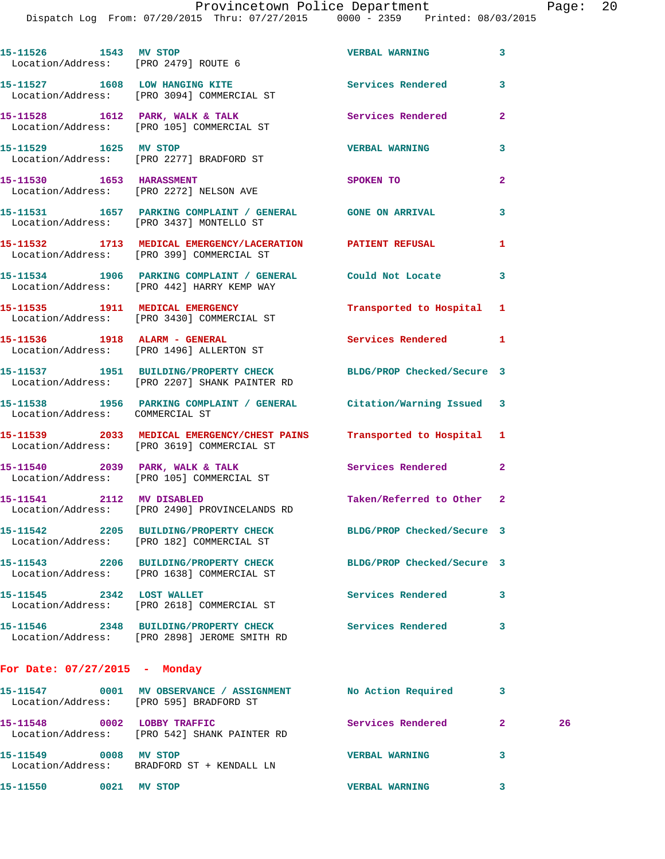Provincetown Police Department Page: 20 Dispatch Log From: 07/20/2015 Thru: 07/27/2015 0000 - 2359 Printed: 08/03/2015 **15-11526 1543 MV STOP VERBAL WARNING 3**  Location/Address: [PRO 2479] ROUTE 6 15-11527 1608 LOW HANGING KITE **Services Rendered** 3 Location/Address: [PRO 3094] COMMERCIAL ST **15-11528 1612 PARK, WALK & TALK Services Rendered 2**  Location/Address: [PRO 105] COMMERCIAL ST **15-11529 1625 MV STOP VERBAL WARNING 3**  Location/Address: [PRO 2277] BRADFORD ST **15-11530 1653 HARASSMENT SPOKEN TO 2**  Location/Address: [PRO 2272] NELSON AVE **15-11531 1657 PARKING COMPLAINT / GENERAL GONE ON ARRIVAL 3**  Location/Address: [PRO 3437] MONTELLO ST **15-11532 1713 MEDICAL EMERGENCY/LACERATION PATIENT REFUSAL 1**  Location/Address: [PRO 399] COMMERCIAL ST **15-11534 1906 PARKING COMPLAINT / GENERAL Could Not Locate 3**  Location/Address: [PRO 442] HARRY KEMP WAY **15-11535 1911 MEDICAL EMERGENCY Transported to Hospital 1**  Location/Address: [PRO 3430] COMMERCIAL ST 15-11536 1918 ALARM - GENERAL **Services Rendered** 1 Location/Address: [PRO 1496] ALLERTON ST **15-11537 1951 BUILDING/PROPERTY CHECK BLDG/PROP Checked/Secure 3**  Location/Address: [PRO 2207] SHANK PAINTER RD **15-11538 1956 PARKING COMPLAINT / GENERAL Citation/Warning Issued 3**  Location/Address: COMMERCIAL ST **15-11539 2033 MEDICAL EMERGENCY/CHEST PAINS Transported to Hospital 1**  Location/Address: [PRO 3619] COMMERCIAL ST **15-11540 2039 PARK, WALK & TALK Services Rendered 2**  Location/Address: [PRO 105] COMMERCIAL ST **15-11541 2112 MV DISABLED Taken/Referred to Other 2**  Location/Address: [PRO 2490] PROVINCELANDS RD **15-11542 2205 BUILDING/PROPERTY CHECK BLDG/PROP Checked/Secure 3**  Location/Address: [PRO 182] COMMERCIAL ST **15-11543 2206 BUILDING/PROPERTY CHECK BLDG/PROP Checked/Secure 3**  Location/Address: [PRO 1638] COMMERCIAL ST **15-11545 2342 LOST WALLET Services Rendered 3**  Location/Address: [PRO 2618] COMMERCIAL ST **15-11546 2348 BUILDING/PROPERTY CHECK Services Rendered 3** 

**For Date: 07/27/2015 - Monday**

Location/Address: [PRO 2898] JEROME SMITH RD

| 15–11547<br>Location/Address: | 0001 | MV OBSERVANCE / ASSIGNMENT<br>[PRO 595] BRADFORD ST          | No Action Required    |   |    |
|-------------------------------|------|--------------------------------------------------------------|-----------------------|---|----|
| 15-11548<br>Location/Address: | 0002 | LOBBY TRAFFIC<br>[PRO 542] SHANK PAINTER RD                  | Services Rendered     |   | 26 |
| 15–11549                      | 0008 | <b>MV STOP</b><br>Location/Address: BRADFORD ST + KENDALL LN | <b>VERBAL WARNING</b> | 3 |    |
| 15-11550                      | 0021 | MV STOP                                                      | <b>VERBAL WARNING</b> | 3 |    |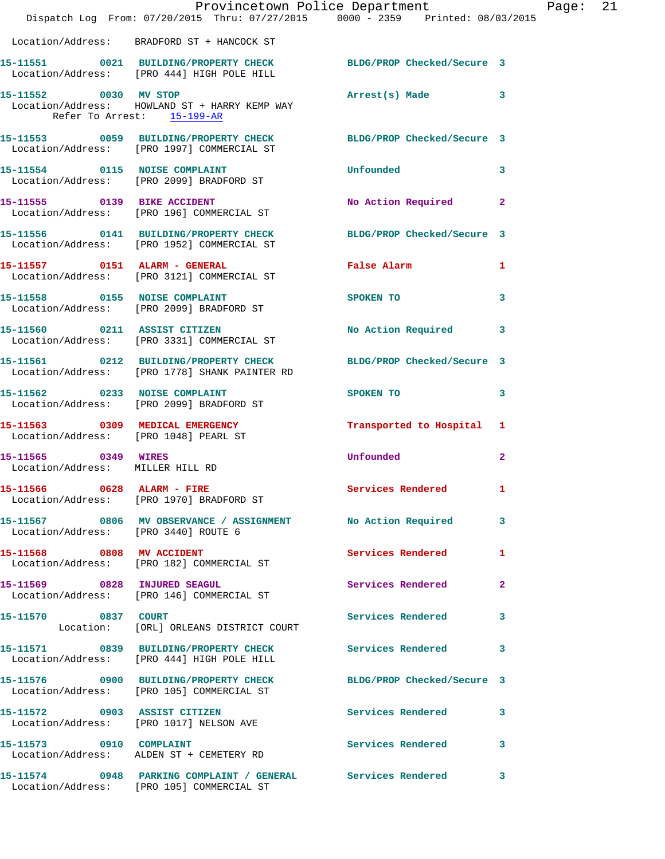|                                                         | Provincetown Police Department Fage: 21<br>Dispatch Log From: 07/20/2015 Thru: 07/27/2015 0000 - 2359 Printed: 08/03/2015 |                                                                                                                                                                                                                                |              |  |
|---------------------------------------------------------|---------------------------------------------------------------------------------------------------------------------------|--------------------------------------------------------------------------------------------------------------------------------------------------------------------------------------------------------------------------------|--------------|--|
|                                                         | Location/Address: BRADFORD ST + HANCOCK ST                                                                                |                                                                                                                                                                                                                                |              |  |
|                                                         | 15-11551 0021 BUILDING/PROPERTY CHECK BLDG/PROP Checked/Secure 3<br>Location/Address: [PRO 444] HIGH POLE HILL            |                                                                                                                                                                                                                                |              |  |
| Refer To Arrest: 15-199-AR                              | 15-11552 0030 MV STOP<br>Location/Address: HOWLAND ST + HARRY KEMP WAY                                                    | Arrest(s) Made 3                                                                                                                                                                                                               |              |  |
|                                                         | 15-11553 0059 BUILDING/PROPERTY CHECK BLDG/PROP Checked/Secure 3<br>Location/Address: [PRO 1997] COMMERCIAL ST            |                                                                                                                                                                                                                                |              |  |
|                                                         | 15-11554 0115 NOISE COMPLAINT<br>Location/Address: [PRO 2099] BRADFORD ST                                                 | <b>Unfounded</b>                                                                                                                                                                                                               | 3            |  |
|                                                         | 15-11555 0139 BIKE ACCIDENT<br>Location/Address: [PRO 196] COMMERCIAL ST                                                  | No Action Required                                                                                                                                                                                                             | $\mathbf{2}$ |  |
|                                                         | 15-11556 0141 BUILDING/PROPERTY CHECK BLDG/PROP Checked/Secure 3<br>Location/Address: [PRO 1952] COMMERCIAL ST            |                                                                                                                                                                                                                                |              |  |
|                                                         | 15-11557 0151 ALARM - GENERAL<br>Location/Address: [PRO 3121] COMMERCIAL ST                                               | False Alarm                                                                                                                                                                                                                    | 1            |  |
|                                                         | 15-11558 0155 NOISE COMPLAINT<br>Location/Address: [PRO 2099] BRADFORD ST                                                 | SPOKEN TO                                                                                                                                                                                                                      | 3            |  |
|                                                         | 15-11560 0211 ASSIST CITIZEN<br>Location/Address: [PRO 3331] COMMERCIAL ST                                                | No Action Required                                                                                                                                                                                                             | 3            |  |
|                                                         | 15-11561 0212 BUILDING/PROPERTY CHECK BLDG/PROP Checked/Secure 3<br>Location/Address: [PRO 1778] SHANK PAINTER RD         |                                                                                                                                                                                                                                |              |  |
|                                                         | 15-11562 0233 NOISE COMPLAINT<br>Location/Address: [PRO 2099] BRADFORD ST                                                 | SPOKEN TO THE SPOKEN OF THE SPOKEN OF THE SPOKEN OF THE SPOKEN OF THE SPOKEN OF THE SPOKEN OF THE SPOKEN OF THE SPOKEN OF THE SPOKEN OF THE SPOKEN OF THE SPOKEN OF THE SPOKEN OF THE SPOKEN OF THE SPOKEN OF THE SPOKEN OF TH | 3            |  |
|                                                         | 15-11563 0309 MEDICAL EMERGENCY<br>Location/Address: [PRO 1048] PEARL ST                                                  | Transported to Hospital 1                                                                                                                                                                                                      |              |  |
| 15-11565 0349 WIRES<br>Location/Address: MILLER HILL RD |                                                                                                                           | <b>Unfounded</b>                                                                                                                                                                                                               | $\mathbf{2}$ |  |
|                                                         | 15-11566 0628 ALARM - FIRE<br>Location/Address: [PRO 1970] BRADFORD ST                                                    | Services Rendered 1                                                                                                                                                                                                            |              |  |
| Location/Address: [PRO 3440] ROUTE 6                    | 15-11567 0806 MV OBSERVANCE / ASSIGNMENT No Action Required                                                               |                                                                                                                                                                                                                                | 3            |  |
|                                                         | 15-11568 0808 MV ACCIDENT<br>Location/Address: [PRO 182] COMMERCIAL ST                                                    | Services Rendered                                                                                                                                                                                                              | 1            |  |
|                                                         | 15-11569 0828 INJURED SEAGUL<br>Location/Address: [PRO 146] COMMERCIAL ST                                                 | Services Rendered                                                                                                                                                                                                              | $\mathbf{2}$ |  |
| 15-11570 0837 COURT                                     | Location: [ORL] ORLEANS DISTRICT COURT                                                                                    | <b>Services Rendered</b>                                                                                                                                                                                                       | $\mathbf{3}$ |  |
|                                                         | 15-11571 0839 BUILDING/PROPERTY CHECK Services Rendered<br>Location/Address: [PRO 444] HIGH POLE HILL                     |                                                                                                                                                                                                                                | 3            |  |
|                                                         | 15-11576 0900 BUILDING/PROPERTY CHECK BLDG/PROP Checked/Secure 3<br>Location/Address: [PRO 105] COMMERCIAL ST             |                                                                                                                                                                                                                                |              |  |
|                                                         | 15-11572 0903 ASSIST CITIZEN<br>Location/Address: [PRO 1017] NELSON AVE                                                   | Services Rendered                                                                                                                                                                                                              | 3            |  |
| 15-11573 0910 COMPLAINT                                 | Location/Address: ALDEN ST + CEMETERY RD                                                                                  | Services Rendered                                                                                                                                                                                                              | $\mathbf{3}$ |  |
|                                                         | 15-11574 0948 PARKING COMPLAINT / GENERAL Services Rendered<br>Location/Address: [PRO 105] COMMERCIAL ST                  |                                                                                                                                                                                                                                | 3            |  |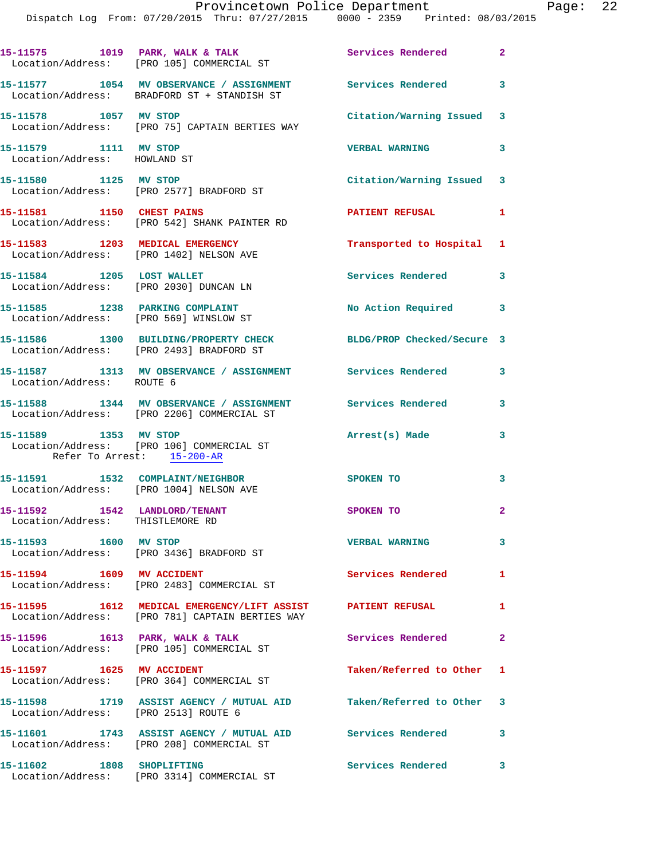|                                                                             | 15-11575 1019 PARK, WALK & TALK<br>Location/Address: [PRO 105] COMMERCIAL ST                                   | Services Rendered 2        |              |
|-----------------------------------------------------------------------------|----------------------------------------------------------------------------------------------------------------|----------------------------|--------------|
|                                                                             | 15-11577 1054 MV OBSERVANCE / ASSIGNMENT Services Rendered 3<br>Location/Address: BRADFORD ST + STANDISH ST    |                            |              |
| 15-11578 1057 MV STOP                                                       | Location/Address: [PRO 75] CAPTAIN BERTIES WAY                                                                 | Citation/Warning Issued 3  |              |
| 15-11579 1111 MV STOP<br>Location/Address: HOWLAND ST                       |                                                                                                                | <b>VERBAL WARNING</b>      | $\mathbf{3}$ |
| 15-11580 1125 MV STOP                                                       | Location/Address: [PRO 2577] BRADFORD ST                                                                       | Citation/Warning Issued 3  |              |
| 15-11581 1150 CHEST PAINS                                                   | Location/Address: [PRO 542] SHANK PAINTER RD                                                                   | <b>PATIENT REFUSAL</b>     | $\mathbf{1}$ |
| Location/Address: [PRO 1402] NELSON AVE                                     | 15-11583 1203 MEDICAL EMERGENCY                                                                                | Transported to Hospital 1  |              |
| 15-11584 1205 LOST WALLET                                                   | Location/Address: [PRO 2030] DUNCAN LN                                                                         | Services Rendered          | 3            |
| 15-11585 1238 PARKING COMPLAINT<br>Location/Address: [PRO 569] WINSLOW ST   |                                                                                                                | No Action Required         | 3            |
|                                                                             | 15-11586 1300 BUILDING/PROPERTY CHECK<br>Location/Address: [PRO 2493] BRADFORD ST                              | BLDG/PROP Checked/Secure 3 |              |
| Location/Address: ROUTE 6                                                   | 15-11587 1313 MV OBSERVANCE / ASSIGNMENT Services Rendered                                                     |                            | 3            |
|                                                                             | 15-11588 1344 MV OBSERVANCE / ASSIGNMENT<br>Location/Address: [PRO 2206] COMMERCIAL ST                         | Services Rendered          | 3            |
| 15-11589 1353 MV STOP<br>Refer To Arrest: 15-200-AR                         | Location/Address: [PRO 106] COMMERCIAL ST                                                                      | Arrest(s) Made             | 3            |
| 15-11591 1532 COMPLAINT/NEIGHBOR<br>Location/Address: [PRO 1004] NELSON AVE |                                                                                                                | SPOKEN TO                  | 3            |
| 15-11592 1542 LANDLORD/TENANT<br>Location/Address: THISTLEMORE RD           |                                                                                                                | SPOKEN TO                  | $\mathbf{2}$ |
|                                                                             | Location/Address: [PRO 3436] BRADFORD ST                                                                       | <b>VERBAL WARNING</b>      | 3            |
| 15-11594   1609   MV   ACCIDENT                                             | Location/Address: [PRO 2483] COMMERCIAL ST                                                                     | Services Rendered          | 1            |
|                                                                             | 15-11595 1612 MEDICAL EMERGENCY/LIFT ASSIST PATIENT REFUSAL<br>Location/Address: [PRO 781] CAPTAIN BERTIES WAY |                            | 1            |
|                                                                             | 15-11596 1613 PARK, WALK & TALK<br>Location/Address: [PRO 105] COMMERCIAL ST                                   | Services Rendered          | $\mathbf{2}$ |
| 15-11597    1625    MV    ACCIDENT                                          | Location/Address: [PRO 364] COMMERCIAL ST                                                                      | Taken/Referred to Other 1  |              |
| Location/Address: [PRO 2513] ROUTE 6                                        | 15-11598 1719 ASSIST AGENCY / MUTUAL AID Taken/Referred to Other 3                                             |                            |              |
|                                                                             | 15-11601 1743 ASSIST AGENCY / MUTUAL AID Services Rendered<br>Location/Address: [PRO 208] COMMERCIAL ST        |                            | 3            |
| 15-11602 1808 SHOPLIFTING                                                   | Location/Address: [PRO 3314] COMMERCIAL ST                                                                     | <b>Services Rendered</b> 3 |              |